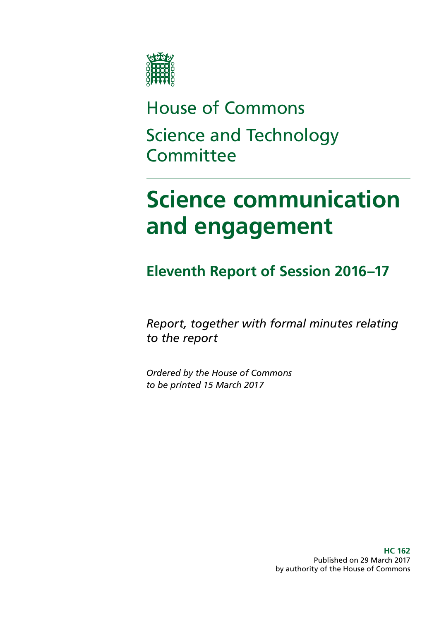

## House of Commons Science and Technology **Committee**

# **Science communication and engagement**

## **Eleventh Report of Session 2016–17**

*Report, together with formal minutes relating to the report*

*Ordered by the House of Commons to be printed 15 March 2017*

> **HC 162** Published on 29 March 2017 by authority of the House of Commons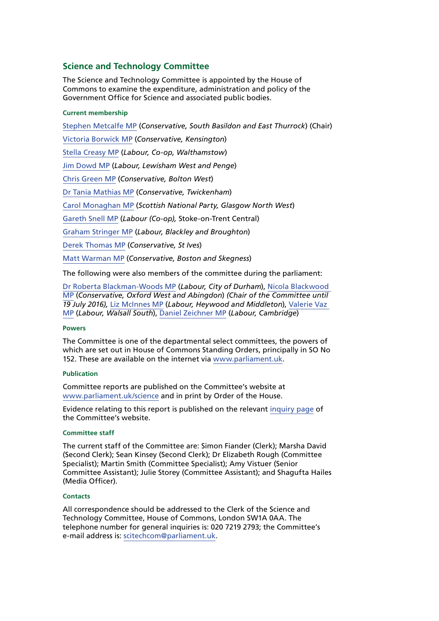### **Science and Technology Committee**

The Science and Technology Committee is appointed by the House of Commons to examine the expenditure, administration and policy of the Government Office for Science and associated public bodies.

#### **Current membership**

[Stephen Metcalfe MP](http://www.parliament.uk/biographies/commons/stephen-metcalfe/4092) (*Conservative, South Basildon and East Thurrock*) (Chair) [Victoria Borwick MP](http://www.parliament.uk/biographies/commons/victoria-borwick/4502) (*Conservative, Kensington*) [Stella Creasy MP](http://www.parliament.uk/biographies/commons/stella-creasy/4088) (*Labour, Co-op, Walthamstow*) [Jim Dowd MP](http://www.parliament.uk/biographies/commons/jim-dowd/189) (*Labour, Lewisham West and Penge*) [Chris Green MP](http://www.parliament.uk/biographies/commons/chris-green/4398) (*Conservative, Bolton West*) [Dr Tania Mathias MP](http://www.parliament.uk/biographies/commons/dr-tania-mathias/4404) (*Conservative, Twickenham*) [Carol Monaghan MP](http://www.parliament.uk/biographies/commons/carol-monaghan/4443) (*Scottish National Party, Glasgow North West*) [Gareth Snell MP](http://www.parliament.uk/biographies/commons/gareth-snell/4595) (*Labour (Co-op),* Stoke-on-Trent Central) [Graham Stringer MP](http://www.parliament.uk/biographies/commons/graham-stringer/449) (*Labour, Blackley and Broughton*) [Derek Thomas MP](http://www.parliament.uk/biographies/commons/derek-thomas/4532) (*Conservative, St Ives*) [Matt Warman MP](http://www.parliament.uk/biographies/commons/matt-warman/4361) (*Conservative, Boston and Skegness*)

The following were also members of the committee during the parliament:

[Dr Roberta Blackman-Woods MP](http://www.parliament.uk/biographies/commons/dr-roberta-blackman-woods/1501) (*Labour, City of Durham*), [Nicola Blackwood](http://www.parliament.uk/biographies/commons/nicola-blackwood/4019)  [MP](http://www.parliament.uk/biographies/commons/nicola-blackwood/4019) (*Conservative, Oxford West and Abingdon*) *(Chair of the Committee until 19 July 2016),* [Liz McInnes MP](http://www.parliament.uk/biographies/commons/liz-mcinnes/4342) (*Labour, Heywood and Middleton*), [Valerie Vaz](http://www.parliament.uk/biographies/commons/valerie-vaz/4076)  [MP](http://www.parliament.uk/biographies/commons/valerie-vaz/4076) (*Labour, Walsall South*), [Daniel Zeichner MP](http://www.parliament.uk/biographies/commons/daniel-zeichner/4382) (*Labour, Cambridge*)

#### **Powers**

The Committee is one of the departmental select committees, the powers of which are set out in House of Commons Standing Orders, principally in SO No 152. These are available on the internet via [www.parliament.uk](http://www.parliament.uk).

#### **Publication**

Committee reports are published on the Committee's website at [www.parliament.uk/science](http://www.parliament.uk/science) and in print by Order of the House.

Evidence relating to this report is published on the relevant [inquiry page](http://www.parliament.uk/business/committees/committees-a-z/commons-select/science-and-technology-committee/inquiries/parliament-2015/science-communication-inquiry-15-16/) of the Committee's website.

#### **Committee staff**

The current staff of the Committee are: Simon Fiander (Clerk); Marsha David (Second Clerk); Sean Kinsey (Second Clerk); Dr Elizabeth Rough (Committee Specialist); Martin Smith (Committee Specialist); Amy Vistuer (Senior Committee Assistant); Julie Storey (Committee Assistant); and Shagufta Hailes (Media Officer).

#### **Contacts**

All correspondence should be addressed to the Clerk of the Science and Technology Committee, House of Commons, London SW1A 0AA. The telephone number for general inquiries is: 020 7219 2793; the Committee's e-mail address is: [scitechcom@parliament.uk](mailto:scitechcom@parliament.uk).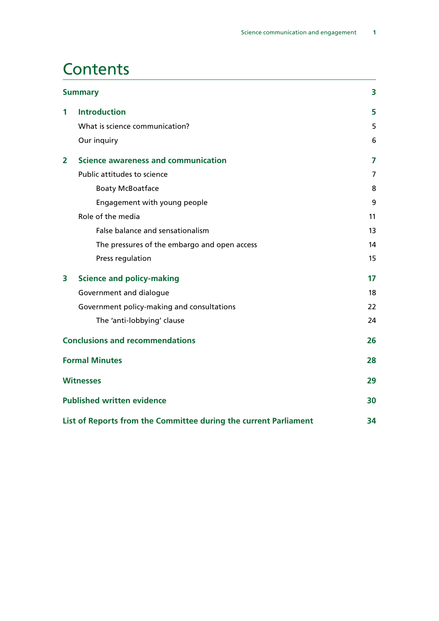## **Contents**

| <b>Summary</b>          |                                                                  | 3              |
|-------------------------|------------------------------------------------------------------|----------------|
| 1                       | <b>Introduction</b>                                              | 5              |
|                         | What is science communication?                                   | 5              |
|                         | Our inquiry                                                      | 6              |
| $\overline{\mathbf{2}}$ | Science awareness and communication                              | $\overline{7}$ |
|                         | Public attitudes to science                                      | 7              |
|                         | <b>Boaty McBoatface</b>                                          | 8              |
|                         | Engagement with young people                                     | 9              |
|                         | Role of the media                                                | 11             |
|                         | False balance and sensationalism                                 | 13             |
|                         | The pressures of the embargo and open access                     | 14             |
|                         | Press regulation                                                 | 15             |
| 3                       | <b>Science and policy-making</b>                                 | 17             |
|                         | Government and dialogue                                          | 18             |
|                         | Government policy-making and consultations                       | 22             |
|                         | The 'anti-lobbying' clause                                       | 24             |
|                         | <b>Conclusions and recommendations</b>                           | 26             |
|                         | <b>Formal Minutes</b>                                            | 28             |
|                         | <b>Witnesses</b>                                                 | 29             |
|                         | <b>Published written evidence</b>                                | 30             |
|                         | List of Reports from the Committee during the current Parliament | 34             |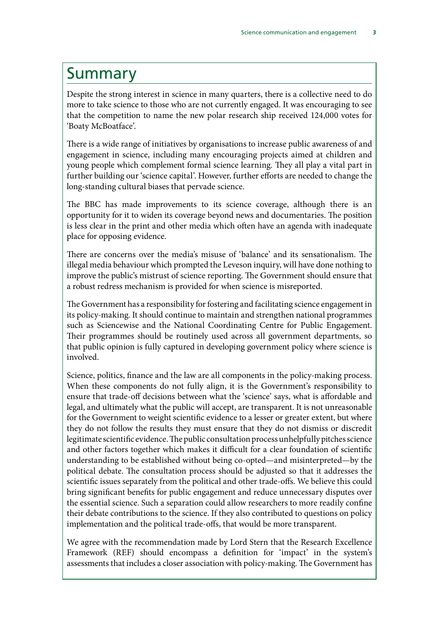## <span id="page-3-0"></span>Summary

Despite the strong interest in science in many quarters, there is a collective need to do more to take science to those who are not currently engaged. It was encouraging to see that the competition to name the new polar research ship received 124,000 votes for 'Boaty McBoatface'.

There is a wide range of initiatives by organisations to increase public awareness of and engagement in science, including many encouraging projects aimed at children and young people which complement formal science learning. They all play a vital part in further building our 'science capital'. However, further efforts are needed to change the long-standing cultural biases that pervade science.

The BBC has made improvements to its science coverage, although there is an opportunity for it to widen its coverage beyond news and documentaries. The position is less clear in the print and other media which often have an agenda with inadequate place for opposing evidence.

There are concerns over the media's misuse of 'balance' and its sensationalism. The illegal media behaviour which prompted the Leveson inquiry, will have done nothing to improve the public's mistrust of science reporting. The Government should ensure that a robust redress mechanism is provided for when science is misreported.

The Government has a responsibility for fostering and facilitating science engagement in its policy-making. It should continue to maintain and strengthen national programmes such as Sciencewise and the National Coordinating Centre for Public Engagement. Their programmes should be routinely used across all government departments, so that public opinion is fully captured in developing government policy where science is involved.

Science, politics, finance and the law are all components in the policy-making process. When these components do not fully align, it is the Government's responsibility to ensure that trade-off decisions between what the 'science' says, what is affordable and legal, and ultimately what the public will accept, are transparent. It is not unreasonable for the Government to weight scientific evidence to a lesser or greater extent, but where they do not follow the results they must ensure that they do not dismiss or discredit legitimate scientific evidence. The public consultation process unhelpfully pitches science and other factors together which makes it difficult for a clear foundation of scientific understanding to be established without being co-opted—and misinterpreted—by the political debate. The consultation process should be adjusted so that it addresses the scientific issues separately from the political and other trade-offs. We believe this could bring significant benefits for public engagement and reduce unnecessary disputes over the essential science. Such a separation could allow researchers to more readily confine their debate contributions to the science. If they also contributed to questions on policy implementation and the political trade-offs, that would be more transparent.

We agree with the recommendation made by Lord Stern that the Research Excellence Framework (REF) should encompass a definition for 'impact' in the system's assessments that includes a closer association with policy-making. The Government has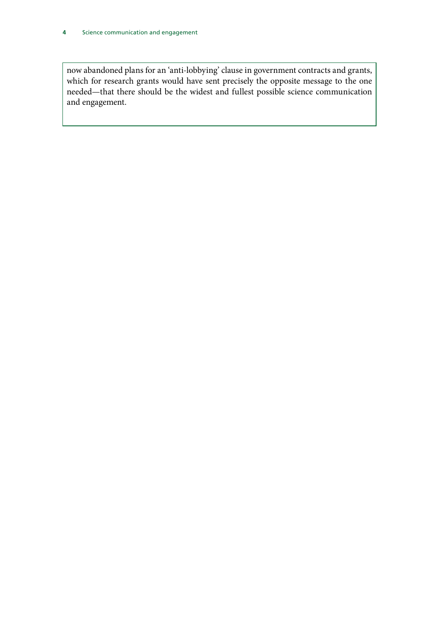now abandoned plans for an 'anti-lobbying' clause in government contracts and grants, which for research grants would have sent precisely the opposite message to the one needed—that there should be the widest and fullest possible science communication and engagement.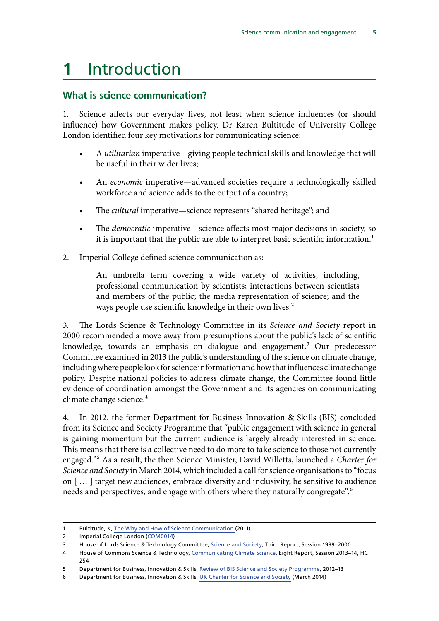## <span id="page-5-0"></span>**1** Introduction

### **What is science communication?**

1. Science affects our everyday lives, not least when science influences (or should influence) how Government makes policy. Dr Karen Bultitude of University College London identified four key motivations for communicating science:

- A *utilitarian* imperative—giving people technical skills and knowledge that will be useful in their wider lives;
- An *economic* imperative—advanced societies require a technologically skilled workforce and science adds to the output of a country;
- The *cultural* imperative—science represents "shared heritage"; and
- The *democratic* imperative—science affects most major decisions in society, so it is important that the public are able to interpret basic scientific information.<sup>1</sup>
- 2. Imperial College defined science communication as:

An umbrella term covering a wide variety of activities, including, professional communication by scientists; interactions between scientists and members of the public; the media representation of science; and the ways people use scientific knowledge in their own lives.<sup>2</sup>

3. The Lords Science & Technology Committee in its *Science and Society* report in 2000 recommended a move away from presumptions about the public's lack of scientific knowledge, towards an emphasis on dialogue and engagement.3 Our predecessor Committee examined in 2013 the public's understanding of the science on climate change, including where people look for science information and how that influences climate change policy. Despite national policies to address climate change, the Committee found little evidence of coordination amongst the Government and its agencies on communicating climate change science.<sup>4</sup>

4. In 2012, the former Department for Business Innovation & Skills (BIS) concluded from its Science and Society Programme that "public engagement with science in general is gaining momentum but the current audience is largely already interested in science. This means that there is a collective need to do more to take science to those not currently engaged."5 As a result, the then Science Minister, David Willetts, launched a *Charter for Science and Society* in March 2014, which included a call for science organisations to "focus on [ … ] target new audiences, embrace diversity and inclusivity, be sensitive to audience needs and perspectives, and engage with others where they naturally congregate".<sup>6</sup>

<sup>1</sup> Bultitude, K, [The Why and How of Science Communication](https://www.ucl.ac.uk/sts/staff/bultitude/KB_TB/Karen_Bultitude_-_Science_Communication_Why_and_How.pdf) (2011)

<sup>2</sup> Imperial College London [\(COM0014\)](http://data.parliament.uk/writtenevidence/committeeevidence.svc/evidencedocument/science-and-technology-committee/science-communication/written/32372.pdf)

<sup>3</sup> House of Lords Science & Technology Committee, [Science and Society](https://www.publications.parliament.uk/pa/ld199900/ldselect/ldsctech/38/3801.htm), Third Report, Session 1999–2000

<sup>4</sup> House of Commons Science & Technology, [Communicating Climate Science](https://www.publications.parliament.uk/pa/cm201314/cmselect/cmsctech/254/254.pdf), Eight Report, Session 2013–14, HC 254

<sup>5</sup> Department for Business, Innovation & Skills, [Review of BIS Science and Society Programme,](http://webarchive.nationalarchives.gov.uk/+/http:/scienceandsociety.bis.gov.uk/) 2012–13

<sup>6</sup> Department for Business, Innovation & Skills, [UK Charter for Science and Society](https://scienceandsociety.blog.gov.uk/uk-charter-for-society/) (March 2014)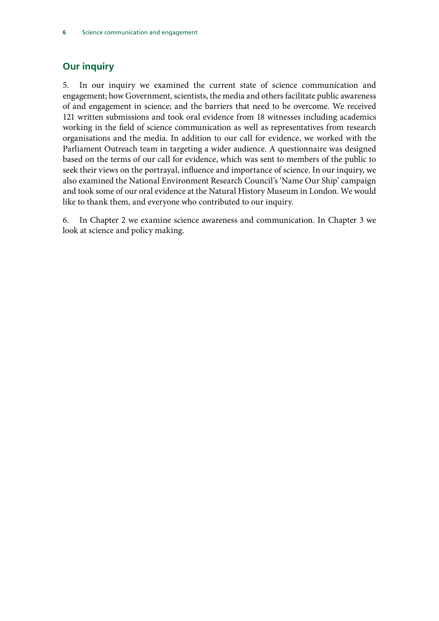## <span id="page-6-0"></span>**Our inquiry**

5. In our inquiry we examined the current state of science communication and engagement; how Government, scientists, the media and others facilitate public awareness of and engagement in science; and the barriers that need to be overcome. We received 121 written submissions and took oral evidence from 18 witnesses including academics working in the field of science communication as well as representatives from research organisations and the media. In addition to our call for evidence, we worked with the Parliament Outreach team in targeting a wider audience. A questionnaire was designed based on the terms of our call for evidence, which was sent to members of the public to seek their views on the portrayal, influence and importance of science. In our inquiry, we also examined the National Environment Research Council's 'Name Our Ship' campaign and took some of our oral evidence at the Natural History Museum in London. We would like to thank them, and everyone who contributed to our inquiry.

6. In Chapter 2 we examine science awareness and communication. In Chapter 3 we look at science and policy making.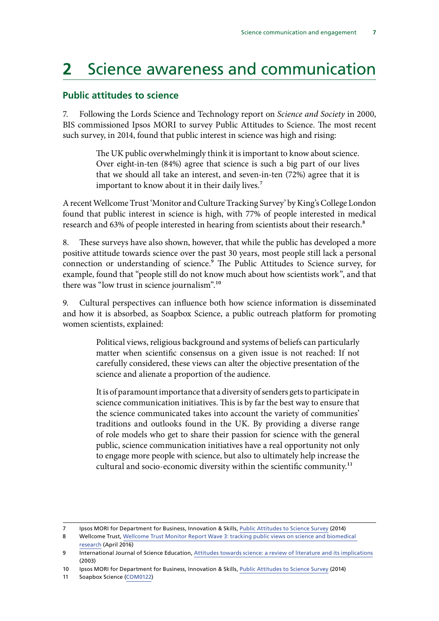## <span id="page-7-0"></span>**2** Science awareness and communication

### **Public attitudes to science**

7. Following the Lords Science and Technology report on *Science and Society* in 2000, BIS commissioned Ipsos MORI to survey Public Attitudes to Science. The most recent such survey, in 2014, found that public interest in science was high and rising:

> The UK public overwhelmingly think it is important to know about science. Over eight-in-ten (84%) agree that science is such a big part of our lives that we should all take an interest, and seven-in-ten (72%) agree that it is important to know about it in their daily lives.<sup>7</sup>

A recent Wellcome Trust 'Monitor and Culture Tracking Survey' by King's College London found that public interest in science is high, with 77% of people interested in medical research and 63% of people interested in hearing from scientists about their research.<sup>8</sup>

8. These surveys have also shown, however, that while the public has developed a more positive attitude towards science over the past 30 years, most people still lack a personal connection or understanding of science.9 The Public Attitudes to Science survey, for example, found that "people still do not know much about how scientists work", and that there was "low trust in science journalism".10

9. Cultural perspectives can influence both how science information is disseminated and how it is absorbed, as Soapbox Science, a public outreach platform for promoting women scientists, explained:

> Political views, religious background and systems of beliefs can particularly matter when scientific consensus on a given issue is not reached: If not carefully considered, these views can alter the objective presentation of the science and alienate a proportion of the audience.

> It is of paramount importance that a diversity of senders gets to participate in science communication initiatives. This is by far the best way to ensure that the science communicated takes into account the variety of communities' traditions and outlooks found in the UK. By providing a diverse range of role models who get to share their passion for science with the general public, science communication initiatives have a real opportunity not only to engage more people with science, but also to ultimately help increase the cultural and socio-economic diversity within the scientific community.<sup>11</sup>

<sup>7</sup> Ipsos MORI for Department for Business, Innovation & Skills, [Public Attitudes to Science Survey](https://www.ipsos-mori.com/researchpublications/researcharchive/3357/Public-Attitudes-to-Science-2014.aspx) (2014)

<sup>8</sup> Wellcome Trust, [Wellcome Trust Monitor Report Wave 3: tracking public views on science and biomedical](https://www.ipsos-mori.com/Assets/Docs/Publications/sri-wellcome-trust-monitor-wave-3-2016.pdf)  [research](https://www.ipsos-mori.com/Assets/Docs/Publications/sri-wellcome-trust-monitor-wave-3-2016.pdf) (April 2016)

<sup>9</sup> International Journal of Science Education, [Attitudes towards science: a review of literature and its implications](https://cset.stanford.edu/sites/default/files/files/documents/publications/Osborne-Attitudes%20Toward%20Science.pdf) (2003)

<sup>10</sup> Ipsos MORI for Department for Business, Innovation & Skills, [Public Attitudes to Science Survey](https://www.ipsos-mori.com/researchpublications/researcharchive/3357/Public-Attitudes-to-Science-2014.aspx) (2014)

<sup>11</sup> Soapbox Science [\(COM0122](http://data.parliament.uk/writtenevidence/committeeevidence.svc/evidencedocument/science-and-technology-committee/science-communication/written/38663.pdf))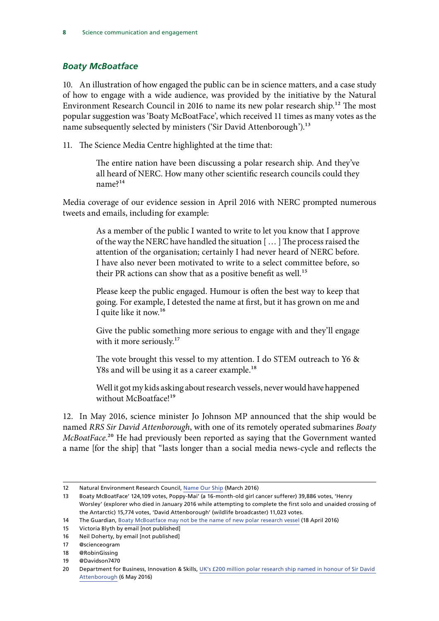### <span id="page-8-0"></span>*Boaty McBoatface*

10. An illustration of how engaged the public can be in science matters, and a case study of how to engage with a wide audience, was provided by the initiative by the Natural Environment Research Council in 2016 to name its new polar research ship.<sup>12</sup> The most popular suggestion was 'Boaty McBoatFace', which received 11 times as many votes as the name subsequently selected by ministers ('Sir David Attenborough').<sup>13</sup>

11. The Science Media Centre highlighted at the time that:

The entire nation have been discussing a polar research ship. And they've all heard of NERC. How many other scientific research councils could they name?14

Media coverage of our evidence session in April 2016 with NERC prompted numerous tweets and emails, including for example:

> As a member of the public I wanted to write to let you know that I approve of the way the NERC have handled the situation [ … ] The process raised the attention of the organisation; certainly I had never heard of NERC before. I have also never been motivated to write to a select committee before, so their PR actions can show that as a positive benefit as well.<sup>15</sup>

> Please keep the public engaged. Humour is often the best way to keep that going. For example, I detested the name at first, but it has grown on me and I quite like it now.16

> Give the public something more serious to engage with and they'll engage with it more seriously.<sup>17</sup>

> The vote brought this vessel to my attention. I do STEM outreach to Y6 & Y8s and will be using it as a career example.<sup>18</sup>

> Well it got my kids asking about research vessels, never would have happened without McBoatface!<sup>19</sup>

12. In May 2016, science minister Jo Johnson MP announced that the ship would be named *RRS Sir David Attenborough*, with one of its remotely operated submarines *Boaty McBoatFace*.<sup>20</sup> He had previously been reported as saying that the Government wanted a name [for the ship] that "lasts longer than a social media news-cycle and reflects the

<sup>12</sup> Natural Environment Research Council, [Name Our Ship](https://nameourship.nerc.ac.uk/) (March 2016)

<sup>13</sup> Boaty McBoatFace' 124,109 votes, Poppy-Mai' (a 16-month-old girl cancer sufferer) 39,886 votes, 'Henry Worsley' (explorer who died in January 2016 while attempting to complete the first solo and unaided crossing of the Antarctic) 15,774 votes, 'David Attenborough' (wildlife broadcaster) 11,023 votes.

<sup>14</sup> The Guardian, [Boaty McBoatface may not be the name of new polar research vessel](https://www.theguardian.com/environment/2016/apr/18/boaty-mcboatface-may-not-be-name-of-new-polar-research-vessel) (18 April 2016)

<sup>15</sup> Victoria Blyth by email [not published]

<sup>16</sup> Neil Doherty, by email [not published]

<sup>17</sup> @scienceogram

<sup>18</sup> @RobinGissing

<sup>19</sup> @Davidson7470

<sup>20</sup> Department for Business, Innovation & Skills, [UK's £200 million polar research ship named in honour of Sir David](https://www.gov.uk/government/news/uks-200-million-polar-research-ship-named-in-honour-of-sir-david-attenborough)  [Attenborough](https://www.gov.uk/government/news/uks-200-million-polar-research-ship-named-in-honour-of-sir-david-attenborough) (6 May 2016)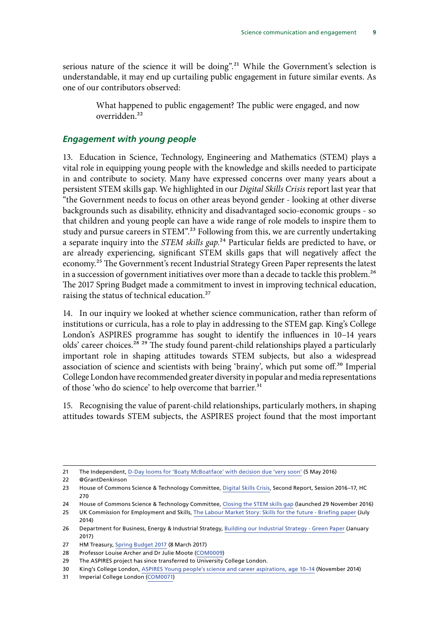<span id="page-9-0"></span>serious nature of the science it will be doing".<sup>21</sup> While the Government's selection is understandable, it may end up curtailing public engagement in future similar events. As one of our contributors observed:

> What happened to public engagement? The public were engaged, and now overridden.22

### *Engagement with young people*

13. Education in Science, Technology, Engineering and Mathematics (STEM) plays a vital role in equipping young people with the knowledge and skills needed to participate in and contribute to society. Many have expressed concerns over many years about a persistent STEM skills gap. We highlighted in our *Digital Skills Crisis* report last year that "the Government needs to focus on other areas beyond gender - looking at other diverse backgrounds such as disability, ethnicity and disadvantaged socio-economic groups - so that children and young people can have a wide range of role models to inspire them to study and pursue careers in STEM".<sup>23</sup> Following from this, we are currently undertaking a separate inquiry into the *STEM skills gap*.24 Particular fields are predicted to have, or are already experiencing, significant STEM skills gaps that will negatively affect the economy.25 The Government's recent Industrial Strategy Green Paper represents the latest in a succession of government initiatives over more than a decade to tackle this problem.<sup>26</sup> The 2017 Spring Budget made a commitment to invest in improving technical education, raising the status of technical education.<sup>27</sup>

14. In our inquiry we looked at whether science communication, rather than reform of institutions or curricula, has a role to play in addressing to the STEM gap. King's College London's ASPIRES programme has sought to identify the influences in 10–14 years olds' career choices.<sup>28</sup> <sup>29</sup> The study found parent-child relationships played a particularly important role in shaping attitudes towards STEM subjects, but also a widespread association of science and scientists with being 'brainy', which put some off.30 Imperial College London have recommended greater diversity in popular and media representations of those 'who do science' to help overcome that barrier.<sup>31</sup>

15. Recognising the value of parent-child relationships, particularly mothers, in shaping attitudes towards STEM subjects, the ASPIRES project found that the most important

<sup>21</sup> The Independent, [D-Day looms for 'Boaty McBoatface' with decision due 'very soon'](http://www.independent.co.uk/news/science/d-day-looms-for-boaty-mcboatface-with-decision-due-very-soon-a7014851.html) (5 May 2016)

<sup>22</sup> @GrantDenkinson

<sup>23</sup> House of Commons Science & Technology Committee, [Digital Skills Crisis,](https://www.publications.parliament.uk/pa/cm201617/cmselect/cmsctech/270/270.pdf) Second Report, Session 2016–17, HC 270

<sup>24</sup> House of Commons Science & Technology Committee, [Closing the STEM skills gap](http://www.parliament.uk/business/committees/committees-a-z/commons-select/science-and-technology-committee/inquiries/parliament-2015/inquiry3/) (launched 29 November 2016)

<sup>25</sup> UK Commission for Employment and Skills, [The Labour Market Story: Skills for the future - Briefing paper](https://www.gov.uk/government/uploads/system/uploads/attachment_data/file/344441/The_Labour_Market_Story-_Skills_for_the_Future.pdf) (July 2014)

<sup>26</sup> Department for Business, Energy & Industrial Strategy, [Building our Industrial Strategy - Green Paper](https://beisgovuk.citizenspace.com/strategy/industrial-strategy/supporting_documents/buildingourindustrialstrategygreenpaper.pdf) (January 2017)

<sup>27</sup> HM Treasury, [Spring Budget 2017](https://www.gov.uk/government/publications/spring-budget-2017-documents/spring-budget-2017) (8 March 2017)

<sup>28</sup> Professor Louise Archer and Dr Julie Moote [\(COM0009\)](http://data.parliament.uk/writtenevidence/committeeevidence.svc/evidencedocument/science-and-technology-committee/science-communication/written/32124.pdf)

<sup>29</sup> The ASPIRES project has since transferred to University College London.

<sup>30</sup> King's College London, [ASPIRES Young people's science and career aspirations, age 10–14](http://www.kcl.ac.uk/sspp/departments/education/research/ASPIRES/ASPIRES-final-report-December-2013.pdf) (November 2014)

<sup>31</sup> Imperial College London [\(COM0071\)](http://data.parliament.uk/writtenevidence/committeeevidence.svc/evidencedocument/science-and-technology-committee/science-communication/written/32655.pdf)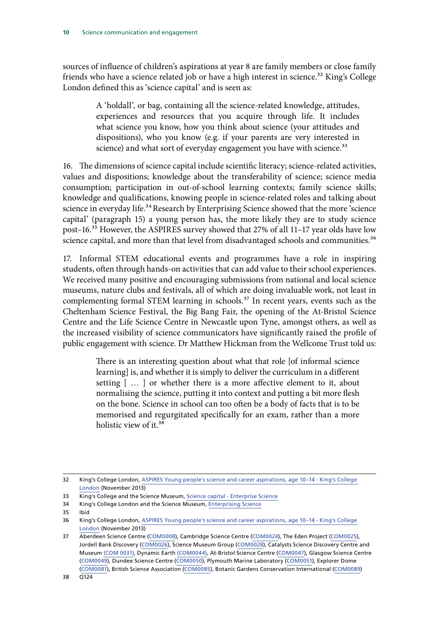sources of influence of children's aspirations at year 8 are family members or close family friends who have a science related job or have a high interest in science.<sup>32</sup> King's College London defined this as 'science capital' and is seen as:

> A 'holdall', or bag, containing all the science-related knowledge, attitudes, experiences and resources that you acquire through life. It includes what science you know, how you think about science (your attitudes and dispositions), who you know (e.g. if your parents are very interested in science) and what sort of everyday engagement you have with science.<sup>33</sup>

16. The dimensions of science capital include scientific literacy; science-related activities, values and dispositions; knowledge about the transferability of science; science media consumption; participation in out-of-school learning contexts; family science skills; knowledge and qualifications, knowing people in science-related roles and talking about science in everyday life.<sup>34</sup> Research by Enterprising Science showed that the more 'science capital' (paragraph 15) a young person has, the more likely they are to study science post–16.35 However, the ASPIRES survey showed that 27% of all 11–17 year olds have low science capital, and more than that level from disadvantaged schools and communities.<sup>36</sup>

17. Informal STEM educational events and programmes have a role in inspiring students, often through hands-on activities that can add value to their school experiences. We received many positive and encouraging submissions from national and local science museums, nature clubs and festivals, all of which are doing invaluable work, not least in complementing formal STEM learning in schools.<sup>37</sup> In recent years, events such as the Cheltenham Science Festival, the Big Bang Fair, the opening of the At-Bristol Science Centre and the Life Science Centre in Newcastle upon Tyne, amongst others, as well as the increased visibility of science communicators have significantly raised the profile of public engagement with science. Dr Matthew Hickman from the Wellcome Trust told us:

> There is an interesting question about what that role [of informal science learning] is, and whether it is simply to deliver the curriculum in a different setting [ … ] or whether there is a more affective element to it, about normalising the science, putting it into context and putting a bit more flesh on the bone. Science in school can too often be a body of facts that is to be memorised and regurgitated specifically for an exam, rather than a more holistic view of it.<sup>38</sup>

<sup>32</sup> King's College London, [ASPIRES Young people's science and career aspirations, age 10–14 - King's College](http://www.kcl.ac.uk/sspp/departments/education/research/ASPIRES/ASPIRES-final-report-December-2013.pdf)  [London](http://www.kcl.ac.uk/sspp/departments/education/research/ASPIRES/ASPIRES-final-report-December-2013.pdf) (November 2013)

<sup>33</sup> King's College and the Science Museum, [Science capital - Enterprise Science](https://www.kcl.ac.uk/sspp/departments/education/research/Research-Centres/cppr/Research/currentpro/Enterprising-Science/01Science-Capital.aspx)

<sup>34</sup> King's College London and the Science Museum, [Enterprising Science](http://www.sciencemuseum.org.uk/educators/special-projects/enterprising-science)

<sup>35</sup> Ibid

<sup>36</sup> King's College London, [ASPIRES Young people's science and career aspirations, age 10–14 - King's College](http://www.kcl.ac.uk/sspp/departments/education/research/ASPIRES/ASPIRES-final-report-December-2013.pdf)  [London](http://www.kcl.ac.uk/sspp/departments/education/research/ASPIRES/ASPIRES-final-report-December-2013.pdf) (November 2013)

<sup>37</sup> Aberdeen Science Centre [\(COM0008\)](http://data.parliament.uk/writtenevidence/committeeevidence.svc/evidencedocument/science-and-technology-committee/science-communication/written/32054.pdf), Cambridge Science Centre [\(COM0024](http://data.parliament.uk/writtenevidence/committeeevidence.svc/evidencedocument/science-and-technology-committee/science-communication/written/32487.pdf)), The Eden Project ([COM0025\)](http://data.parliament.uk/writtenevidence/committeeevidence.svc/evidencedocument/science-and-technology-committee/science-communication/written/32501.pdf), Jordell Bank Discovery [\(COM0026](http://data.parliament.uk/writtenevidence/committeeevidence.svc/evidencedocument/science-and-technology-committee/science-communication/written/32508.pdf)), Science Museum Group ([COM0028](http://data.parliament.uk/writtenevidence/committeeevidence.svc/evidencedocument/science-and-technology-committee/science-communication/written/32512.pdf)), Catalysts Science Discovery Centre and Museum [\(COM 0031\),](http://data.parliament.uk/writtenevidence/committeeevidence.svc/evidencedocument/science-and-technology-committee/science-communication/written/32536.pdf) Dynamic Earth [\(COM0044\),](http://data.parliament.uk/writtenevidence/committeeevidence.svc/evidencedocument/science-and-technology-committee/science-communication/written/32568.pdf) At-Bristol Science Centre [\(COM0047\)](http://data.parliament.uk/writtenevidence/committeeevidence.svc/evidencedocument/science-and-technology-committee/science-communication/written/32576.pdf), Glasgow Science Centre [\(COM0049](http://data.parliament.uk/writtenevidence/committeeevidence.svc/evidencedocument/science-and-technology-committee/science-communication/written/32580.pdf)), Dundee Science Centre [\(COM0050](http://data.parliament.uk/writtenevidence/committeeevidence.svc/evidencedocument/science-and-technology-committee/science-communication/written/32582.pdf)), Plymouth Marine Laboratory ([COM0051](http://data.parliament.uk/writtenevidence/committeeevidence.svc/evidencedocument/science-and-technology-committee/science-communication/written/32590.pdf)), Explorer Dome [\(COM0081\)](http://data.parliament.uk/writtenevidence/committeeevidence.svc/evidencedocument/science-and-technology-committee/science-communication/written/32688.pdf), British Science Association [\(COM0085](http://data.parliament.uk/writtenevidence/committeeevidence.svc/evidencedocument/science-and-technology-committee/science-communication/written/32781.pdf)), Botanic Gardens Conservation International [\(COM0089\)](http://data.parliament.uk/writtenevidence/committeeevidence.svc/evidencedocument/science-and-technology-committee/science-communication/written/32836.pdf)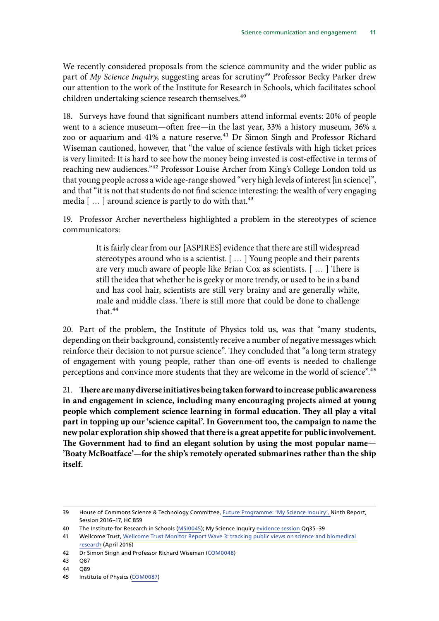<span id="page-11-0"></span>We recently considered proposals from the science community and the wider public as part of *My Science Inquiry*, suggesting areas for scrutiny<sup>39</sup> Professor Becky Parker drew our attention to the work of the Institute for Research in Schools, which facilitates school children undertaking science research themselves.<sup>40</sup>

18. Surveys have found that significant numbers attend informal events: 20% of people went to a science museum—often free—in the last year, 33% a history museum, 36% a zoo or aquarium and 41% a nature reserve.<sup>41</sup> Dr Simon Singh and Professor Richard Wiseman cautioned, however, that "the value of science festivals with high ticket prices is very limited: It is hard to see how the money being invested is cost-effective in terms of reaching new audiences."42 Professor Louise Archer from King's College London told us that young people across a wide age-range showed "very high levels of interest [in science]", and that "it is not that students do not find science interesting: the wealth of very engaging media  $[...]$  around science is partly to do with that.<sup>43</sup>

19. Professor Archer nevertheless highlighted a problem in the stereotypes of science communicators:

> It is fairly clear from our [ASPIRES] evidence that there are still widespread stereotypes around who is a scientist. [ … ] Young people and their parents are very much aware of people like Brian Cox as scientists. [ … ] There is still the idea that whether he is geeky or more trendy, or used to be in a band and has cool hair, scientists are still very brainy and are generally white, male and middle class. There is still more that could be done to challenge that.<sup>44</sup>

20. Part of the problem, the Institute of Physics told us, was that "many students, depending on their background, consistently receive a number of negative messages which reinforce their decision to not pursue science". They concluded that "a long term strategy of engagement with young people, rather than one-off events is needed to challenge perceptions and convince more students that they are welcome in the world of science".45

21. **There are many diverse initiatives being taken forward to increase public awareness in and engagement in science, including many encouraging projects aimed at young people which complement science learning in formal education. They all play a vital part in topping up our 'science capital'. In Government too, the campaign to name the new polar exploration ship showed that there is a great appetite for public involvement. The Government had to find an elegant solution by using the most popular name— 'Boaty McBoatface'—for the ship's remotely operated submarines rather than the ship itself.**

<sup>39</sup> House of Commons Science & Technology Committee, [Future Programme: 'My Science Inquiry',](https://www.publications.parliament.uk/pa/cm201617/cmselect/cmsctech/859/859.pdf) Ninth Report, Session 2016–17, HC 859

<sup>40</sup> The Institute for Research in Schools ([MSI0045\)](http://data.parliament.uk/writtenevidence/committeeevidence.svc/evidencedocument/science-and-technology-committee/my-science-inquiry/written/44850.pdf); My Science Inquiry evidence session Qq35–39

<sup>41</sup> Wellcome Trust, Wellcome Trust Monitor Report Wave 3: tracking public views on science and biomedical [research](https://www.ipsos-mori.com/Assets/Docs/Publications/sri-wellcome-trust-monitor-wave-3-2016.pdf) (April 2016)

<sup>42</sup> Dr Simon Singh and Professor Richard Wiseman ([COM0048](http://data.parliament.uk/writtenevidence/committeeevidence.svc/evidencedocument/science-and-technology-committee/science-communication/written/32579.pdf))

<sup>43</sup> Q87

<sup>44</sup> Q89

<sup>45</sup> Institute of Physics ([COM0087](http://data.parliament.uk/writtenevidence/committeeevidence.svc/evidencedocument/science-and-technology-committee/science-communication/written/32823.pdf))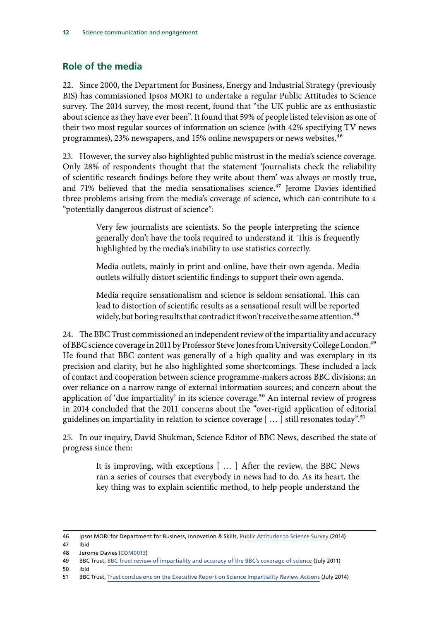### **Role of the media**

22. Since 2000, the Department for Business, Energy and Industrial Strategy (previously BIS) has commissioned Ipsos MORI to undertake a regular Public Attitudes to Science survey. The 2014 survey, the most recent, found that "the UK public are as enthusiastic about science as they have ever been". It found that 59% of people listed television as one of their two most regular sources of information on science (with 42% specifying TV news programmes), 23% newspapers, and 15% online newspapers or news websites.<sup>46</sup>

23. However, the survey also highlighted public mistrust in the media's science coverage. Only 28% of respondents thought that the statement 'Journalists check the reliability of scientific research findings before they write about them' was always or mostly true, and 71% believed that the media sensationalises science.<sup>47</sup> Jerome Davies identified three problems arising from the media's coverage of science, which can contribute to a "potentially dangerous distrust of science":

> Very few journalists are scientists. So the people interpreting the science generally don't have the tools required to understand it. This is frequently highlighted by the media's inability to use statistics correctly.

> Media outlets, mainly in print and online, have their own agenda. Media outlets wilfully distort scientific findings to support their own agenda.

> Media require sensationalism and science is seldom sensational. This can lead to distortion of scientific results as a sensational result will be reported widely, but boring results that contradict it won't receive the same attention.<sup>48</sup>

24. The BBC Trust commissioned an independent review of the impartiality and accuracy of BBC science coverage in 2011 by Professor Steve Jones from University College London.<sup>49</sup> He found that BBC content was generally of a high quality and was exemplary in its precision and clarity, but he also highlighted some shortcomings. These included a lack of contact and cooperation between science programme-makers across BBC divisions; an over reliance on a narrow range of external information sources; and concern about the application of 'due impartiality' in its science coverage.<sup>50</sup> An internal review of progress in 2014 concluded that the 2011 concerns about the "over-rigid application of editorial guidelines on impartiality in relation to science coverage  $[$  ...  $]$  still resonates today".<sup>51</sup>

25. In our inquiry, David Shukman, Science Editor of BBC News, described the state of progress since then:

> It is improving, with exceptions [ … ] After the review, the BBC News ran a series of courses that everybody in news had to do. As its heart, the key thing was to explain scientific method, to help people understand the

46 Ipsos MORI for Department for Business, Innovation & Skills, [Public Attitudes to Science Survey](https://www.ipsos-mori.com/researchpublications/researcharchive/3357/Public-Attitudes-to-Science-2014.aspx) (2014)

50 Ibid

<sup>47</sup> Ibid

<sup>48</sup> Jerome Davies [\(COM0013\)](http://data.parliament.uk/writtenevidence/committeeevidence.svc/evidencedocument/science-and-technology-committee/science-communication/written/32371.pdf)

<sup>49</sup> BBC Trust, [BBC Trust review of impartiality and accuracy of the BBC's coverage of science](http://downloads.bbc.co.uk/bbctrust/assets/files/pdf/our_work/science_impartiality/science_impartiality.pdf) (July 2011)

<sup>51</sup> BBC Trust, [Trust conclusions on the Executive Report on Science Impartiality Review Actions](http://downloads.bbc.co.uk/bbctrust/assets/files/pdf/our_work/science_impartiality/science_impartiality.pdf) (July 2014)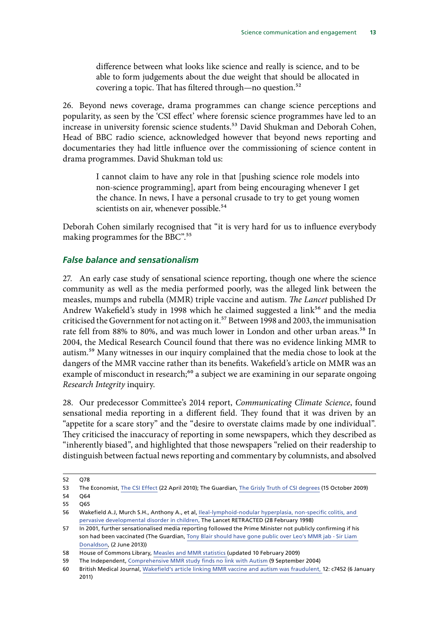<span id="page-13-0"></span>difference between what looks like science and really is science, and to be able to form judgements about the due weight that should be allocated in covering a topic. That has filtered through—no question.<sup>52</sup>

26. Beyond news coverage, drama programmes can change science perceptions and popularity, as seen by the 'CSI effect' where forensic science programmes have led to an increase in university forensic science students.<sup>53</sup> David Shukman and Deborah Cohen, Head of BBC radio science, acknowledged however that beyond news reporting and documentaries they had little influence over the commissioning of science content in drama programmes. David Shukman told us:

> I cannot claim to have any role in that [pushing science role models into non-science programming], apart from being encouraging whenever I get the chance. In news, I have a personal crusade to try to get young women scientists on air, whenever possible.<sup>54</sup>

Deborah Cohen similarly recognised that "it is very hard for us to influence everybody making programmes for the BBC".55

### *False balance and sensationalism*

27. An early case study of sensational science reporting, though one where the science community as well as the media performed poorly, was the alleged link between the measles, mumps and rubella (MMR) triple vaccine and autism. *The Lancet* published Dr Andrew Wakefield's study in 1998 which he claimed suggested a link<sup>56</sup> and the media criticised the Government for not acting on it.<sup>57</sup> Between 1998 and 2003, the immunisation rate fell from 88% to 80%, and was much lower in London and other urban areas.<sup>58</sup> In 2004, the Medical Research Council found that there was no evidence linking MMR to autism.<sup>59</sup> Many witnesses in our inquiry complained that the media chose to look at the dangers of the MMR vaccine rather than its benefits. Wakefield's article on MMR was an example of misconduct in research;<sup>60</sup> a subject we are examining in our separate ongoing *Research Integrity* inquiry.

28. Our predecessor Committee's 2014 report, *Communicating Climate Science*, found sensational media reporting in a different field. They found that it was driven by an "appetite for a scare story" and the "desire to overstate claims made by one individual". They criticised the inaccuracy of reporting in some newspapers, which they described as "inherently biased", and highlighted that those newspapers "relied on their readership to distinguish between factual news reporting and commentary by columnists, and absolved

<sup>52</sup> Q78

<sup>53</sup> The Economist, [The CSI Effect](http://www.economist.com/node/15949089) (22 April 2010); The Guardian, [The Grisly Truth of CSI degrees](https://www.theguardian.com/education/2009/oct/15/csi-effect-forensic-science) (15 October 2009)

<sup>54</sup> Q64

<sup>55</sup> Q65

<sup>56</sup> Wakefield A.J, Murch S.H., Anthony A., et al, [Ileal-lymphoid-nodular hyperplasia, non-specific colitis, and](http://www.thelancet.com/journals/lancet/article/PIIS0140-6736(97)11096-0/abstract)  [pervasive developmental disorder in children,](http://www.thelancet.com/journals/lancet/article/PIIS0140-6736(97)11096-0/abstract) The Lancet RETRACTED (28 February 1998)

<sup>57</sup> In 2001, further sensationalised media reporting followed the Prime Minister not publicly confirming if his son had been vaccinated (The Guardian, [Tony Blair should have gone public over Leo's MMR jab - Sir Liam](https://www.theguardian.com/politics/2013/jun/02/liam-donaldson-tony-leo-blair-mmr)  [Donaldson](https://www.theguardian.com/politics/2013/jun/02/liam-donaldson-tony-leo-blair-mmr), (2 June 2013))

<sup>58</sup> House of Commons Library, [Measles and MMR statistics \(](http://researchbriefings.files.parliament.uk/documents/SN02581/SN02581.pdf)updated 10 February 2009)

<sup>59</sup> The Independent, [Comprehensive MMR study finds no link with Autism](http://www.independent.co.uk/life-style/health-and-families/health-news/comprehensive-mmr-study-finds-no-link-with-autism-31470.html) (9 September 2004)

<sup>60</sup> British Medical Journal, [Wakefield's article linking MMR vaccine and autism was fraudulent,](http://www.bmj.com/content/342/bmj.c7452) 12: c7452 (6 January 2011)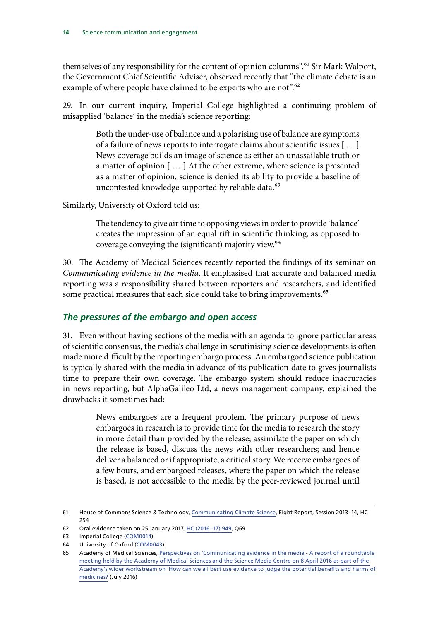<span id="page-14-0"></span>themselves of any responsibility for the content of opinion columns".<sup>61</sup> Sir Mark Walport, the Government Chief Scientific Adviser, observed recently that "the climate debate is an example of where people have claimed to be experts who are not".<sup>62</sup>

29. In our current inquiry, Imperial College highlighted a continuing problem of misapplied 'balance' in the media's science reporting:

> Both the under-use of balance and a polarising use of balance are symptoms of a failure of news reports to interrogate claims about scientific issues [ … ] News coverage builds an image of science as either an unassailable truth or a matter of opinion [ … ] At the other extreme, where science is presented as a matter of opinion, science is denied its ability to provide a baseline of uncontested knowledge supported by reliable data.<sup>63</sup>

Similarly, University of Oxford told us:

The tendency to give air time to opposing views in order to provide 'balance' creates the impression of an equal rift in scientific thinking, as opposed to coverage conveying the (significant) majority view.<sup>64</sup>

30. The Academy of Medical Sciences recently reported the findings of its seminar on *Communicating evidence in the media*. It emphasised that accurate and balanced media reporting was a responsibility shared between reporters and researchers, and identified some practical measures that each side could take to bring improvements.<sup>65</sup>

### *The pressures of the embargo and open access*

31. Even without having sections of the media with an agenda to ignore particular areas of scientific consensus, the media's challenge in scrutinising science developments is often made more difficult by the reporting embargo process. An embargoed science publication is typically shared with the media in advance of its publication date to gives journalists time to prepare their own coverage. The embargo system should reduce inaccuracies in news reporting, but AlphaGalileo Ltd, a news management company, explained the drawbacks it sometimes had:

> News embargoes are a frequent problem. The primary purpose of news embargoes in research is to provide time for the media to research the story in more detail than provided by the release; assimilate the paper on which the release is based, discuss the news with other researchers; and hence deliver a balanced or if appropriate, a critical story. We receive embargoes of a few hours, and embargoed releases, where the paper on which the release is based, is not accessible to the media by the peer-reviewed journal until

<sup>61</sup> House of Commons Science & Technology, [Communicating Climate Science](https://www.publications.parliament.uk/pa/cm201314/cmselect/cmsctech/254/254.pdf), Eight Report, Session 2013–14, HC 254

<sup>62</sup> Oral evidence taken on 25 January 2017, [HC \(2016–17\) 949](http://data.parliament.uk/writtenevidence/committeeevidence.svc/evidencedocument/science-and-technology-committee/government-office-for-science-annual-report-201516/oral/46262.pdf), Q69

<sup>63</sup> Imperial College ([COM0014](http://data.parliament.uk/writtenevidence/committeeevidence.svc/evidencedocument/science-and-technology-committee/science-communication/written/32372.pdf))

<sup>64</sup> University of Oxford [\(COM0043](http://data.parliament.uk/writtenevidence/committeeevidence.svc/evidencedocument/science-and-technology-committee/science-communication/written/32565.pdf))

<sup>65</sup> Academy of Medical Sciences, Perspectives on 'Communicating evidence in the media - A report of a roundtable [meeting held by the Academy of Medical Sciences and the Science Media Centre on 8 April 2016 as part of the](https://acmedsci.ac.uk/file-download/41534-57a30aa387107.pdf)  [Academy's wider workstream on 'How can we all best use evidence to judge the potential benefits and harms of](https://acmedsci.ac.uk/file-download/41534-57a30aa387107.pdf)  [medicines?](https://acmedsci.ac.uk/file-download/41534-57a30aa387107.pdf) (July 2016)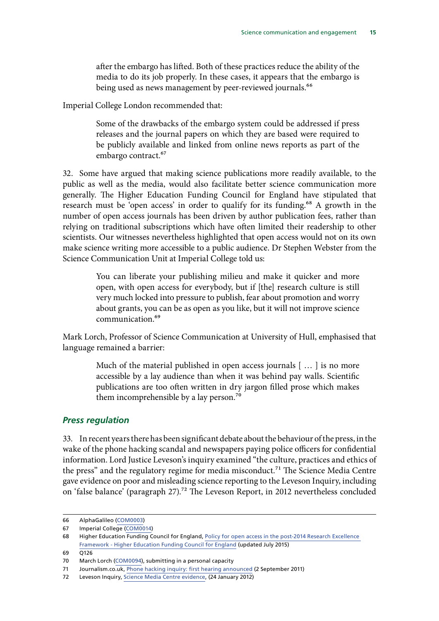<span id="page-15-0"></span>after the embargo has lifted. Both of these practices reduce the ability of the media to do its job properly. In these cases, it appears that the embargo is being used as news management by peer-reviewed journals.<sup>66</sup>

Imperial College London recommended that:

Some of the drawbacks of the embargo system could be addressed if press releases and the journal papers on which they are based were required to be publicly available and linked from online news reports as part of the embargo contract.<sup>67</sup>

32. Some have argued that making science publications more readily available, to the public as well as the media, would also facilitate better science communication more generally. The Higher Education Funding Council for England have stipulated that research must be 'open access' in order to qualify for its funding.<sup>68</sup> A growth in the number of open access journals has been driven by author publication fees, rather than relying on traditional subscriptions which have often limited their readership to other scientists. Our witnesses nevertheless highlighted that open access would not on its own make science writing more accessible to a public audience. Dr Stephen Webster from the Science Communication Unit at Imperial College told us:

> You can liberate your publishing milieu and make it quicker and more open, with open access for everybody, but if [the] research culture is still very much locked into pressure to publish, fear about promotion and worry about grants, you can be as open as you like, but it will not improve science communication.69

Mark Lorch, Professor of Science Communication at University of Hull, emphasised that language remained a barrier:

> Much of the material published in open access journals [ … ] is no more accessible by a lay audience than when it was behind pay walls. Scientific publications are too often written in dry jargon filled prose which makes them incomprehensible by a lay person.<sup>70</sup>

### *Press regulation*

33. In recent years there has been significant debate about the behaviour of the press, in the wake of the phone hacking scandal and newspapers paying police officers for confidential information. Lord Justice Leveson's inquiry examined "the culture, practices and ethics of the press" and the regulatory regime for media misconduct.<sup>71</sup> The Science Media Centre gave evidence on poor and misleading science reporting to the Leveson Inquiry, including on 'false balance' (paragraph 27).<sup>72</sup> The Leveson Report, in 2012 nevertheless concluded

<sup>66</sup> AlphaGalileo ([COM0003\)](http://data.parliament.uk/writtenevidence/committeeevidence.svc/evidencedocument/science-and-technology-committee/science-communication/written/31317.pdf)

<sup>67</sup> Imperial College ([COM0014](http://data.parliament.uk/writtenevidence/committeeevidence.svc/evidencedocument/science-and-technology-committee/science-communication/written/31317.pdf))

<sup>68</sup> Higher Education Funding Council for England, Policy for open access in the post-2014 Research Excellence [Framework - Higher Education Funding Council for England](http://www.hefce.ac.uk/pubs/year/2014/201407/) (updated July 2015)

 $69 \overline{0126}$ 

<sup>70</sup> March Lorch [\(COM0094\)](http://data.parliament.uk/writtenevidence/committeeevidence.svc/evidencedocument/science-and-technology-committee/science-communication/written/33183.pdf), submitting in a personal capacity

<sup>71</sup> Journalism.co.uk, [Phone hacking inquiry: first hearing announced](https://www.journalism.co.uk/news/phone-hacking-inquiry-first-hearing-announced/s2/a545874/) (2 September 2011)

<sup>72</sup> Leveson Inquiry, [Science Media Centre evidence](http://leveson.sayit.mysociety.org/hearing-24-january-2012/ms-fiona-fox), (24 January 2012)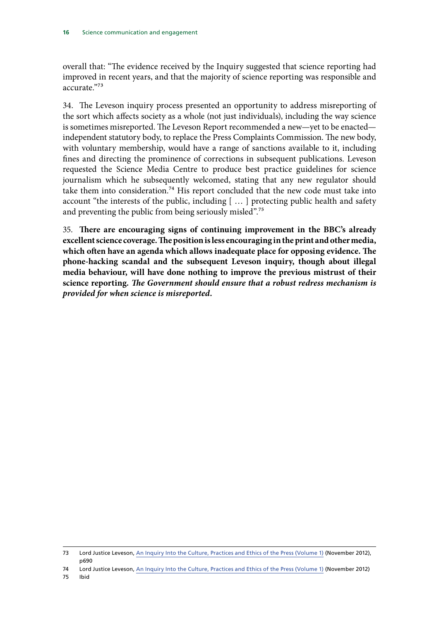overall that: "The evidence received by the Inquiry suggested that science reporting had improved in recent years, and that the majority of science reporting was responsible and accurate<sup>"73</sup>

34. The Leveson inquiry process presented an opportunity to address misreporting of the sort which affects society as a whole (not just individuals), including the way science is sometimes misreported. The Leveson Report recommended a new—yet to be enacted independent statutory body, to replace the Press Complaints Commission. The new body, with voluntary membership, would have a range of sanctions available to it, including fines and directing the prominence of corrections in subsequent publications. Leveson requested the Science Media Centre to produce best practice guidelines for science journalism which he subsequently welcomed, stating that any new regulator should take them into consideration.74 His report concluded that the new code must take into account "the interests of the public, including [ … ] protecting public health and safety and preventing the public from being seriously misled".<sup>75</sup>

35. **There are encouraging signs of continuing improvement in the BBC's already excellent science coverage. The position is less encouraging in the print and other media, which often have an agenda which allows inadequate place for opposing evidence. The phone-hacking scandal and the subsequent Leveson inquiry, though about illegal media behaviour, will have done nothing to improve the previous mistrust of their science reporting.** *The Government should ensure that a robust redress mechanism is provided for when science is misreported.*

75 Ibid

<sup>73</sup> Lord Justice Leveson, [An Inquiry Into the Culture, Practices and Ethics of the Press \(Volume 1\)](https://www.gov.uk/government/publications/leveson-inquiry-report-into-the-culture-practices-and-ethics-of-the-press) (November 2012), p690

<sup>74</sup> Lord Justice Leveson, [An Inquiry Into the Culture, Practices and Ethics of the Press \(Volume 1\)](https://www.gov.uk/government/publications/leveson-inquiry-report-into-the-culture-practices-and-ethics-of-the-press) (November 2012)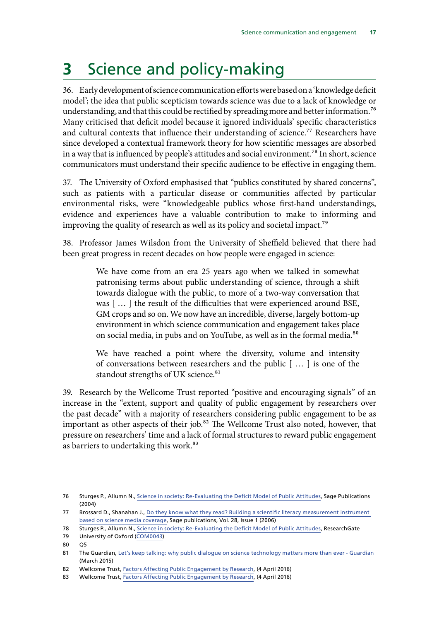## <span id="page-17-0"></span>**3** Science and policy-making

36. Early development of science communication efforts were based on a 'knowledge deficit model'; the idea that public scepticism towards science was due to a lack of knowledge or understanding, and that this could be rectified by spreading more and better information.<sup>76</sup> Many criticised that deficit model because it ignored individuals' specific characteristics and cultural contexts that influence their understanding of science.<sup>77</sup> Researchers have since developed a contextual framework theory for how scientific messages are absorbed in a way that is influenced by people's attitudes and social environment.78 In short, science communicators must understand their specific audience to be effective in engaging them.

37. The University of Oxford emphasised that "publics constituted by shared concerns", such as patients with a particular disease or communities affected by particular environmental risks, were "knowledgeable publics whose first-hand understandings, evidence and experiences have a valuable contribution to make to informing and improving the quality of research as well as its policy and societal impact.<sup>79</sup>

38. Professor James Wilsdon from the University of Sheffield believed that there had been great progress in recent decades on how people were engaged in science:

> We have come from an era 25 years ago when we talked in somewhat patronising terms about public understanding of science, through a shift towards dialogue with the public, to more of a two-way conversation that was [ … ] the result of the difficulties that were experienced around BSE, GM crops and so on. We now have an incredible, diverse, largely bottom-up environment in which science communication and engagement takes place on social media, in pubs and on YouTube, as well as in the formal media.<sup>80</sup>

> We have reached a point where the diversity, volume and intensity of conversations between researchers and the public [ … ] is one of the standout strengths of UK science.<sup>81</sup>

39. Research by the Wellcome Trust reported "positive and encouraging signals" of an increase in the "extent, support and quality of public engagement by researchers over the past decade" with a majority of researchers considering public engagement to be as important as other aspects of their job.<sup>82</sup> The Wellcome Trust also noted, however, that pressure on researchers' time and a lack of formal structures to reward public engagement as barriers to undertaking this work.<sup>83</sup>

79 University of Oxford [\(COM0043](http://data.parliament.uk/writtenevidence/committeeevidence.svc/evidencedocument/science-and-technology-committee/science-communication/written/32565.pdf))

<sup>76</sup> Sturges P., Allumn N., [Science in society: Re-Evaluating the Deficit Model of Public Attitudes](http://journals.sagepub.com/doi/abs/10.1177/0963662504042690), Sage Publications (2004)

<sup>77</sup> Brossard D., Shanahan J., [Do they know what they read? Building a scientific literacy measurement instrument](http://journals.sagepub.com/doi/pdf/10.1177/1075547006291345)  [based on science media coverage](http://journals.sagepub.com/doi/pdf/10.1177/1075547006291345), Sage publications, Vol. 28, Issue 1 (2006)

<sup>78</sup> Sturges P., Allumn N., [Science in society: Re-Evaluating the Deficit Model of Public Attitudes](https://www.researchgate.net/publication/30930463_Science_in_Society_Re-Evaluating_the_Deficit_Model_of_Public_Attitudes), ResearchGate

<sup>80</sup> Q5

<sup>81</sup> The Guardian, [Let's keep talking: why public dialogue on science technology matters more than ever - Guardian](https://www.theguardian.com/science/political-science/2015/mar/27/lets-keep-talking-why-public-dialogue-on-science-and-technology-matters-more-than-ever) (March 2015)

<sup>82</sup> Wellcome Trust, [Factors Affecting Public Engagement by Research,](https://wellcome.ac.uk/news/what-are-barriers-uk-researchers-engaging-public) (4 April 2016)

<sup>83</sup> Wellcome Trust, [Factors Affecting Public Engagement by Research,](https://wellcome.ac.uk/news/what-are-barriers-uk-researchers-engaging-public) (4 April 2016)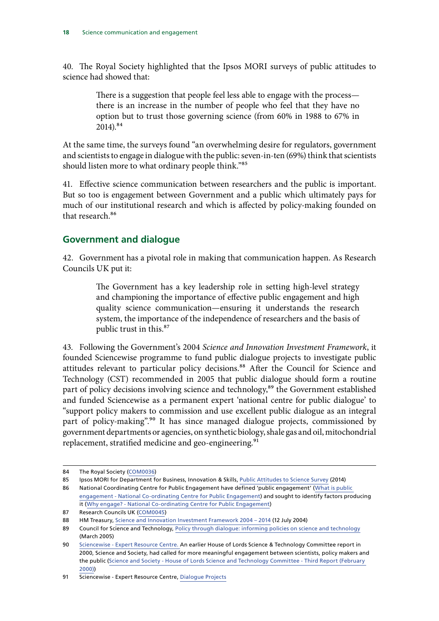<span id="page-18-0"></span>40. The Royal Society highlighted that the Ipsos MORI surveys of public attitudes to science had showed that:

> There is a suggestion that people feel less able to engage with the process there is an increase in the number of people who feel that they have no option but to trust those governing science (from 60% in 1988 to 67% in  $2014$ ).<sup>84</sup>

At the same time, the surveys found "an overwhelming desire for regulators, government and scientists to engage in dialogue with the public: seven-in-ten (69%) think that scientists should listen more to what ordinary people think."85

41. Effective science communication between researchers and the public is important. But so too is engagement between Government and a public which ultimately pays for much of our institutional research and which is affected by policy-making founded on that research.<sup>86</sup>

### **Government and dialogue**

42. Government has a pivotal role in making that communication happen. As Research Councils UK put it:

> The Government has a key leadership role in setting high-level strategy and championing the importance of effective public engagement and high quality science communication—ensuring it understands the research system, the importance of the independence of researchers and the basis of public trust in this.<sup>87</sup>

43. Following the Government's 2004 *Science and Innovation Investment Framework*, it founded Sciencewise programme to fund public dialogue projects to investigate public attitudes relevant to particular policy decisions.<sup>88</sup> After the Council for Science and Technology (CST) recommended in 2005 that public dialogue should form a routine part of policy decisions involving science and technology,<sup>89</sup> the Government established and funded Sciencewise as a permanent expert 'national centre for public dialogue' to "support policy makers to commission and use excellent public dialogue as an integral part of policy-making".<sup>90</sup> It has since managed dialogue projects, commissioned by government departments or agencies, on synthetic biology, shale gas and oil, mitochondrial replacement, stratified medicine and geo-engineering.<sup>91</sup>

<sup>84</sup> The Royal Society ([COM0036\)](http://data.parliament.uk/writtenevidence/committeeevidence.svc/evidencedocument/science-and-technology-committee/science-communication/written/32550.pdf)

<sup>85</sup> Ipsos MORI for Department for Business, Innovation & Skills, [Public Attitudes to Science Survey](https://www.ipsos-mori.com/researchpublications/researcharchive/3357/Public-Attitudes-to-Science-2014.aspx) (2014)

<sup>86</sup> National Coordinating Centre for Public Engagement have defined 'public engagement' [\(What is public](https://www.publicengagement.ac.uk/explore-it/what-public-engagement)  [engagement - National Co-ordinating Centre for Public Engagement](https://www.publicengagement.ac.uk/explore-it/what-public-engagement)) and sought to identify factors producing it ([Why engage? - National Co-ordinating Centre for Public Engagement\)](https://www.publicengagement.ac.uk/plan-it/why-engage)

<sup>87</sup> Research Councils UK [\(COM0045](http://data.parliament.uk/writtenevidence/committeeevidence.svc/evidencedocument/science-and-technology-committee/science-communication/written/32572.pdf))

<sup>88</sup> HM Treasury, [Science and Innovation Investment Framework 2004 – 2014](http://webarchive.nationalarchives.gov.uk/+/http:/www.hm-treasury.gov.uk/spending_sr04_science.htm) (12 July 2004)

<sup>89</sup> Council for Science and Technology, [Policy through dialogue: informing policies on science and technology](http://webarchive.nationalarchives.gov.uk/+/http:/www2.cst.gov.uk/cst/reports/files/policy-through-dialogue/report.pdf) (March 2005)

<sup>90</sup> [Sciencewise - Expert Resource Centre](http://www.sciencewise-erc.org.uk/favicon.ico). An earlier House of Lords Science & Technology Committee report in 2000, Science and Society, had called for more meaningful engagement between scientists, policy makers and the public ([Science and Society - House of Lords Science and Technology Committee - Third Report \(February](http://www.publications.parliament.uk/pa/ld199900/ldselect/ldsctech/38/3801.htm)  [2000\)\)](http://www.publications.parliament.uk/pa/ld199900/ldselect/ldsctech/38/3801.htm)

<sup>91</sup> Sciencewise - Expert Resource Centre, [Dialogue Projects](http://www.sciencewise-erc.org.uk/cms/sciencewise-dialogue-projects/)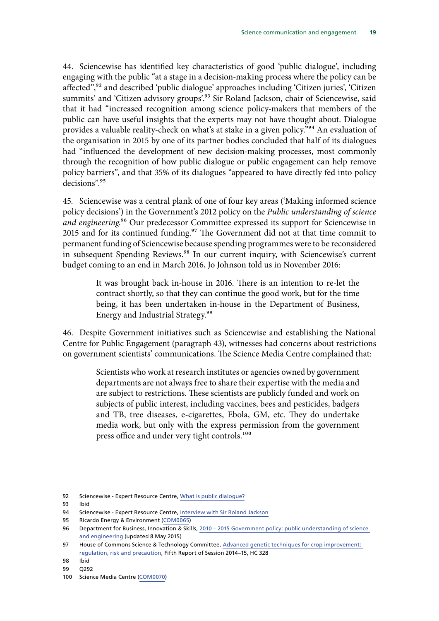44. Sciencewise has identified key characteristics of good 'public dialogue', including engaging with the public "at a stage in a decision-making process where the policy can be affected",<sup>92</sup> and described 'public dialogue' approaches including 'Citizen juries', 'Citizen summits' and 'Citizen advisory groups'.<sup>93</sup> Sir Roland Jackson, chair of Sciencewise, said that it had "increased recognition among science policy-makers that members of the public can have useful insights that the experts may not have thought about. Dialogue provides a valuable reality-check on what's at stake in a given policy."<sup>94</sup> An evaluation of the organisation in 2015 by one of its partner bodies concluded that half of its dialogues had "influenced the development of new decision-making processes, most commonly through the recognition of how public dialogue or public engagement can help remove policy barriers", and that 35% of its dialogues "appeared to have directly fed into policy decisions".95

45. Sciencewise was a central plank of one of four key areas ('Making informed science policy decisions') in the Government's 2012 policy on the *Public understanding of science and engineering*.96 Our predecessor Committee expressed its support for Sciencewise in 2015 and for its continued funding.<sup>97</sup> The Government did not at that time commit to permanent funding of Sciencewise because spending programmes were to be reconsidered in subsequent Spending Reviews.<sup>98</sup> In our current inquiry, with Sciencewise's current budget coming to an end in March 2016, Jo Johnson told us in November 2016:

> It was brought back in-house in 2016. There is an intention to re-let the contract shortly, so that they can continue the good work, but for the time being, it has been undertaken in-house in the Department of Business, Energy and Industrial Strategy.99

46. Despite Government initiatives such as Sciencewise and establishing the National Centre for Public Engagement (paragraph 43), witnesses had concerns about restrictions on government scientists' communications. The Science Media Centre complained that:

> Scientists who work at research institutes or agencies owned by government departments are not always free to share their expertise with the media and are subject to restrictions. These scientists are publicly funded and work on subjects of public interest, including vaccines, bees and pesticides, badgers and TB, tree diseases, e-cigarettes, Ebola, GM, etc. They do undertake media work, but only with the express permission from the government press office and under very tight controls.<sup>100</sup>

<sup>92</sup> Sciencewise - Expert Resource Centre, [What is public dialogue?](http://www.sciencewise-erc.org.uk/cms/assets/Publications/What-is-public-dialogue-FAQ-Report-V2.pdf)

<sup>93</sup> Ibid

<sup>94</sup> Sciencewise - Expert Resource Centre, [Interview with Sir Roland Jackson](http://www.sciencewise-erc.org.uk/cms/interview-with-sir-roland-jackson/)

<sup>95</sup> Ricardo Energy & Environment [\(COM0065\)](http://data.parliament.uk/writtenevidence/committeeevidence.svc/evidencedocument/science-and-technology-committee/science-communication/written/32636.pdf)

<sup>96</sup> Department for Business, Innovation & Skills, [2010 – 2015 Government policy: public understanding of science](https://www.gov.uk/government/publications/2010-to-2015-government-policy-public-understanding-of-science-and-engineering/2010-to-2015-government-policy-public-understanding-of-science-and-engineering) [and engineering](https://www.gov.uk/government/publications/2010-to-2015-government-policy-public-understanding-of-science-and-engineering/2010-to-2015-government-policy-public-understanding-of-science-and-engineering) (updated 8 May 2015)

<sup>97</sup> House of Commons Science & Technology Committee, [Advanced genetic techniques for crop improvement:](https://www.publications.parliament.uk/pa/cm201415/cmselect/cmsctech/328/328.pdf)  [regulation, risk and precaution,](https://www.publications.parliament.uk/pa/cm201415/cmselect/cmsctech/328/328.pdf) Fifth Report of Session 2014–15, HC 328

<sup>98</sup> Ibid

<sup>99</sup> Q292

<sup>100</sup> Science Media Centre ([COM0070\)](http://data.parliament.uk/writtenevidence/committeeevidence.svc/evidencedocument/science-and-technology-committee/science-communication/written/32651.pdf)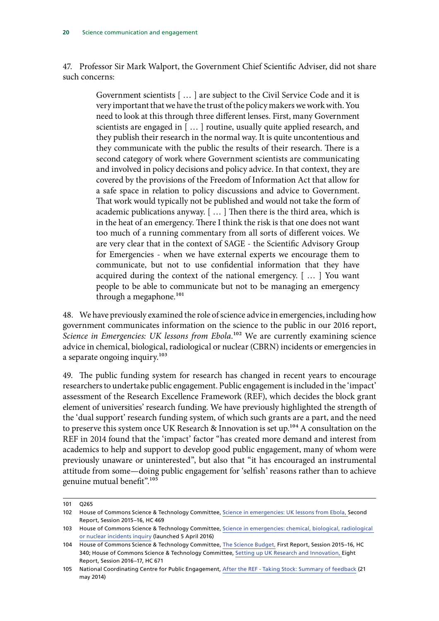47. Professor Sir Mark Walport, the Government Chief Scientific Adviser, did not share such concerns:

> Government scientists [ … ] are subject to the Civil Service Code and it is very important that we have the trust of the policy makers we work with. You need to look at this through three different lenses. First, many Government scientists are engaged in [ … ] routine, usually quite applied research, and they publish their research in the normal way. It is quite uncontentious and they communicate with the public the results of their research. There is a second category of work where Government scientists are communicating and involved in policy decisions and policy advice. In that context, they are covered by the provisions of the Freedom of Information Act that allow for a safe space in relation to policy discussions and advice to Government. That work would typically not be published and would not take the form of academic publications anyway. [ … ] Then there is the third area, which is in the heat of an emergency. There I think the risk is that one does not want too much of a running commentary from all sorts of different voices. We are very clear that in the context of SAGE - the Scientific Advisory Group for Emergencies - when we have external experts we encourage them to communicate, but not to use confidential information that they have acquired during the context of the national emergency. [ … ] You want people to be able to communicate but not to be managing an emergency through a megaphone.<sup>101</sup>

48. We have previously examined the role of science advice in emergencies, including how government communicates information on the science to the public in our 2016 report, *Science in Emergencies: UK lessons from Ebola*.<sup>102</sup> We are currently examining science advice in chemical, biological, radiological or nuclear (CBRN) incidents or emergencies in a separate ongoing inquiry.<sup>103</sup>

49. The public funding system for research has changed in recent years to encourage researchers to undertake public engagement. Public engagement is included in the 'impact' assessment of the Research Excellence Framework (REF), which decides the block grant element of universities' research funding. We have previously highlighted the strength of the 'dual support' research funding system, of which such grants are a part, and the need to preserve this system once UK Research & Innovation is set up.<sup>104</sup> A consultation on the REF in 2014 found that the 'impact' factor "has created more demand and interest from academics to help and support to develop good public engagement, many of whom were previously unaware or uninterested", but also that "it has encouraged an instrumental attitude from some—doing public engagement for 'selfish' reasons rather than to achieve genuine mutual benefit".105

<sup>101</sup> Q265

<sup>102</sup> House of Commons Science & Technology Committee, [Science in emergencies: UK lessons from Ebola,](https://www.publications.parliament.uk/pa/cm201516/cmselect/cmsctech/469/469.pdf) Second Report, Session 2015–16, HC 469

<sup>103</sup> House of Commons Science & Technology Committee, [Science in emergencies: chemical, biological, radiological](http://www.parliament.uk/business/committees/committees-a-z/commons-select/science-and-technology-committee/inquiries/parliament-2015/cbrn-inquiry-15-16/)  [or nuclear incidents inquiry](http://www.parliament.uk/business/committees/committees-a-z/commons-select/science-and-technology-committee/inquiries/parliament-2015/cbrn-inquiry-15-16/) (launched 5 April 2016)

<sup>104</sup> House of Commons Science & Technology Committee, [The Science Budget,](https://www.publications.parliament.uk/pa/cm201516/cmselect/cmsctech/340/340.pdf) First Report, Session 2015–16, HC 340; House of Commons Science & Technology Committee, [Setting up UK Research and Innovation,](https://www.publications.parliament.uk/pa/cm201617/cmselect/cmsctech/671/671.pdf) Eight Report, Session 2016–17, HC 671

<sup>105</sup> National Coordinating Centre for Public Engagement, [After the REF - Taking Stock: Summary of feedback](https://www.publicengagement.ac.uk/sites/default/files/publication/nccpe_after_the_ref_write_up_final.pdf) (21 may 2014)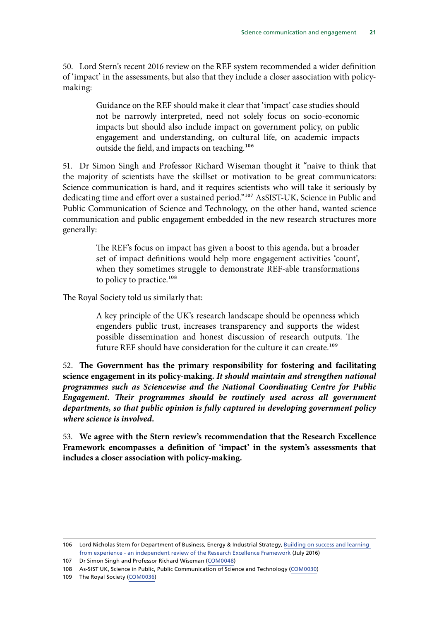50. Lord Stern's recent 2016 review on the REF system recommended a wider definition of 'impact' in the assessments, but also that they include a closer association with policymaking:

> Guidance on the REF should make it clear that 'impact' case studies should not be narrowly interpreted, need not solely focus on socio-economic impacts but should also include impact on government policy, on public engagement and understanding, on cultural life, on academic impacts outside the field, and impacts on teaching.<sup>106</sup>

51. Dr Simon Singh and Professor Richard Wiseman thought it "naive to think that the majority of scientists have the skillset or motivation to be great communicators: Science communication is hard, and it requires scientists who will take it seriously by dedicating time and effort over a sustained period."107 AsSIST-UK, Science in Public and Public Communication of Science and Technology, on the other hand, wanted science communication and public engagement embedded in the new research structures more generally:

> The REF's focus on impact has given a boost to this agenda, but a broader set of impact definitions would help more engagement activities 'count', when they sometimes struggle to demonstrate REF-able transformations to policy to practice.<sup>108</sup>

The Royal Society told us similarly that:

A key principle of the UK's research landscape should be openness which engenders public trust, increases transparency and supports the widest possible dissemination and honest discussion of research outputs. The future REF should have consideration for the culture it can create.<sup>109</sup>

52. **The Government has the primary responsibility for fostering and facilitating science engagement in its policy-making.** *It should maintain and strengthen national programmes such as Sciencewise and the National Coordinating Centre for Public Engagement. Their programmes should be routinely used across all government departments, so that public opinion is fully captured in developing government policy where science is involved.*

53. **We agree with the Stern review's recommendation that the Research Excellence Framework encompasses a definition of 'impact' in the system's assessments that includes a closer association with policy-making.**

<sup>106</sup> Lord Nicholas Stern for Department of Business, Energy & Industrial Strategy, [Building on success and learning](https://www.gov.uk/government/publications/research-excellence-framework-review)  [from experience - an independent review of the Research Excellence Framework](https://www.gov.uk/government/publications/research-excellence-framework-review) (July 2016)

<sup>107</sup> Dr Simon Singh and Professor Richard Wiseman ([COM0048](http://data.parliament.uk/writtenevidence/committeeevidence.svc/evidencedocument/science-and-technology-committee/science-communication/written/32579.pdf))

<sup>108</sup> As-SIST UK, Science in Public, Public Communication of Science and Technology [\(COM0030\)](http://data.parliament.uk/writtenevidence/committeeevidence.svc/evidencedocument/science-and-technology-committee/science-communication/written/32531.pdf)

<sup>109</sup> The Royal Society ([COM0036\)](http://data.parliament.uk/writtenevidence/committeeevidence.svc/evidencedocument/science-and-technology-committee/science-communication/written/32550.pdf)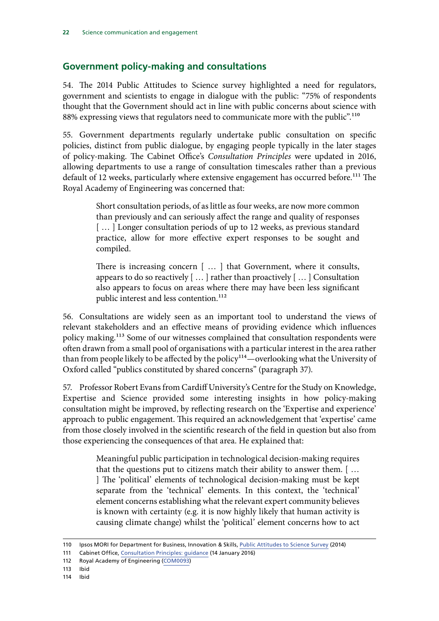## <span id="page-22-0"></span>**Government policy-making and consultations**

54. The 2014 Public Attitudes to Science survey highlighted a need for regulators, government and scientists to engage in dialogue with the public: "75% of respondents thought that the Government should act in line with public concerns about science with 88% expressing views that regulators need to communicate more with the public".<sup>110</sup>

55. Government departments regularly undertake public consultation on specific policies, distinct from public dialogue, by engaging people typically in the later stages of policy-making. The Cabinet Office's *Consultation Principles* were updated in 2016, allowing departments to use a range of consultation timescales rather than a previous default of 12 weeks, particularly where extensive engagement has occurred before.<sup>111</sup> The Royal Academy of Engineering was concerned that:

> Short consultation periods, of as little as four weeks, are now more common than previously and can seriously affect the range and quality of responses [...] Longer consultation periods of up to 12 weeks, as previous standard practice, allow for more effective expert responses to be sought and compiled.

> There is increasing concern [ … ] that Government, where it consults, appears to do so reactively [ … ] rather than proactively [ … ] Consultation also appears to focus on areas where there may have been less significant public interest and less contention.<sup>112</sup>

56. Consultations are widely seen as an important tool to understand the views of relevant stakeholders and an effective means of providing evidence which influences policy making.113 Some of our witnesses complained that consultation respondents were often drawn from a small pool of organisations with a particular interest in the area rather than from people likely to be affected by the policy<sup>114</sup>—overlooking what the University of Oxford called "publics constituted by shared concerns" (paragraph 37).

57. Professor Robert Evans from Cardiff University's Centre for the Study on Knowledge, Expertise and Science provided some interesting insights in how policy-making consultation might be improved, by reflecting research on the 'Expertise and experience' approach to public engagement. This required an acknowledgement that 'expertise' came from those closely involved in the scientific research of the field in question but also from those experiencing the consequences of that area. He explained that:

> Meaningful public participation in technological decision-making requires that the questions put to citizens match their ability to answer them. [ … ] The 'political' elements of technological decision-making must be kept separate from the 'technical' elements. In this context, the 'technical' element concerns establishing what the relevant expert community believes is known with certainty (e.g. it is now highly likely that human activity is causing climate change) whilst the 'political' element concerns how to act

<sup>110</sup> Ipsos MORI for Department for Business, Innovation & Skills, [Public Attitudes to Science Survey](https://www.ipsos-mori.com/researchpublications/researcharchive/3357/Public-Attitudes-to-Science-2014.aspx) (2014)

<sup>111</sup> Cabinet Office, [Consultation Principles: guidance](https://www.gov.uk/government/publications/consultation-principles-guidance) (14 January 2016)

<sup>112</sup> Royal Academy of Engineering ([COM0093\)](http://data.parliament.uk/writtenevidence/committeeevidence.svc/evidencedocument/science-and-technology-committee/science-communication/written/33047.pdf)

<sup>113</sup> Ibid

<sup>114</sup> Ibid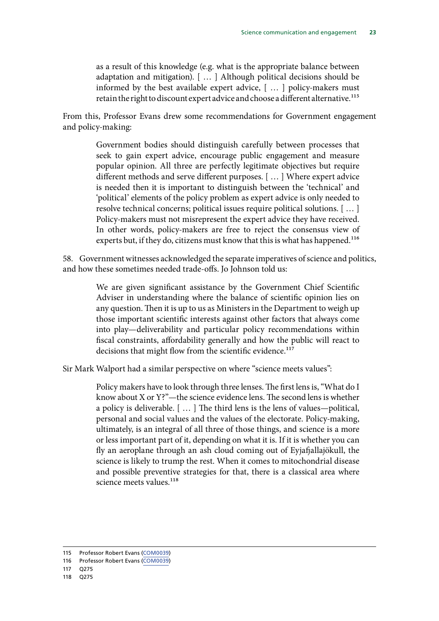as a result of this knowledge (e.g. what is the appropriate balance between adaptation and mitigation). [ … ] Although political decisions should be informed by the best available expert advice, [ … ] policy-makers must retain the right to discount expert advice and choose a different alternative.<sup>115</sup>

From this, Professor Evans drew some recommendations for Government engagement and policy-making:

> Government bodies should distinguish carefully between processes that seek to gain expert advice, encourage public engagement and measure popular opinion. All three are perfectly legitimate objectives but require different methods and serve different purposes. [ … ] Where expert advice is needed then it is important to distinguish between the 'technical' and 'political' elements of the policy problem as expert advice is only needed to resolve technical concerns; political issues require political solutions. [ … ] Policy-makers must not misrepresent the expert advice they have received. In other words, policy-makers are free to reject the consensus view of experts but, if they do, citizens must know that this is what has happened.<sup>116</sup>

58. Government witnesses acknowledged the separate imperatives of science and politics, and how these sometimes needed trade-offs. Jo Johnson told us:

> We are given significant assistance by the Government Chief Scientific Adviser in understanding where the balance of scientific opinion lies on any question. Then it is up to us as Ministers in the Department to weigh up those important scientific interests against other factors that always come into play—deliverability and particular policy recommendations within fiscal constraints, affordability generally and how the public will react to decisions that might flow from the scientific evidence.<sup>117</sup>

Sir Mark Walport had a similar perspective on where "science meets values":

Policy makers have to look through three lenses. The first lens is, "What do I know about X or Y?"—the science evidence lens. The second lens is whether a policy is deliverable. [ … ] The third lens is the lens of values—political, personal and social values and the values of the electorate. Policy-making, ultimately, is an integral of all three of those things, and science is a more or less important part of it, depending on what it is. If it is whether you can fly an aeroplane through an ash cloud coming out of Eyjafjallajökull, the science is likely to trump the rest. When it comes to mitochondrial disease and possible preventive strategies for that, there is a classical area where science meets values.<sup>118</sup>

<sup>115</sup> Professor Robert Evans [\(COM0039](http://data.parliament.uk/writtenevidence/committeeevidence.svc/evidencedocument/science-and-technology-committee/science-communication/written/32556.pdf))

<sup>116</sup> Professor Robert Evans [\(COM0039](http://data.parliament.uk/writtenevidence/committeeevidence.svc/evidencedocument/science-and-technology-committee/science-communication/written/32556.pdf))

<sup>117</sup> Q275

<sup>118</sup> Q275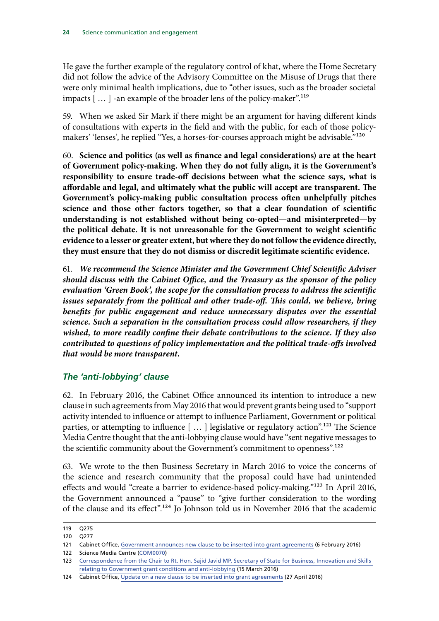<span id="page-24-0"></span>He gave the further example of the regulatory control of khat, where the Home Secretary did not follow the advice of the Advisory Committee on the Misuse of Drugs that there were only minimal health implications, due to "other issues, such as the broader societal impacts [...] -an example of the broader lens of the policy-maker".<sup>119</sup>

59. When we asked Sir Mark if there might be an argument for having different kinds of consultations with experts in the field and with the public, for each of those policymakers' 'lenses', he replied "Yes, a horses-for-courses approach might be advisable."<sup>120</sup>

60. **Science and politics (as well as finance and legal considerations) are at the heart of Government policy-making. When they do not fully align, it is the Government's responsibility to ensure trade-off decisions between what the science says, what is affordable and legal, and ultimately what the public will accept are transparent. The Government's policy-making public consultation process often unhelpfully pitches science and those other factors together, so that a clear foundation of scientific understanding is not established without being co-opted—and misinterpreted—by the political debate. It is not unreasonable for the Government to weight scientific evidence to a lesser or greater extent, but where they do not follow the evidence directly, they must ensure that they do not dismiss or discredit legitimate scientific evidence.**

61. *We recommend the Science Minister and the Government Chief Scientific Adviser should discuss with the Cabinet Office, and the Treasury as the sponsor of the policy evaluation 'Green Book', the scope for the consultation process to address the scientific issues separately from the political and other trade-off. This could, we believe, bring*  benefits for public engagement and reduce unnecessary disputes over the essential *science. Such a separation in the consultation process could allow researchers, if they wished, to more readily confine their debate contributions to the science. If they also contributed to questions of policy implementation and the political trade-offs involved that would be more transparent.*

### *The 'anti-lobbying' clause*

62. In February 2016, the Cabinet Office announced its intention to introduce a new clause in such agreements from May 2016 that would prevent grants being used to "support activity intended to influence or attempt to influence Parliament, Government or political parties, or attempting to influence [...] legislative or regulatory action".<sup>121</sup> The Science Media Centre thought that the anti-lobbying clause would have "sent negative messages to the scientific community about the Government's commitment to openness".<sup>122</sup>

63. We wrote to the then Business Secretary in March 2016 to voice the concerns of the science and research community that the proposal could have had unintended effects and would "create a barrier to evidence-based policy-making."123 In April 2016, the Government announced a "pause" to "give further consideration to the wording of the clause and its effect".124 Jo Johnson told us in November 2016 that the academic

<sup>119</sup> Q275

<sup>120</sup> Q277

<sup>121</sup> Cabinet Office, [Government announces new clause to be inserted into grant agreements](https://www.gov.uk/government/news/government-announces-new-clause-to-be-inserted-into-grant-agreements) (6 February 2016)

<sup>122</sup> Science Media Centre ([COM0070\)](http://data.parliament.uk/writtenevidence/committeeevidence.svc/evidencedocument/science-and-technology-committee/science-communication/written/32651.pdf)

<sup>123</sup> [Correspondence from the Chair to Rt. Hon. Sajid Javid MP, Secretary of State for Business, Innovation and Skills](http://www.parliament.uk/business/committees/committees-a-z/commons-select/science-and-technology-committee/publications/?type=&session=27&sort=false&inquiry=all)  [relating to Government grant conditions and anti-lobbying](http://www.parliament.uk/business/committees/committees-a-z/commons-select/science-and-technology-committee/publications/?type=&session=27&sort=false&inquiry=all) (15 March 2016)

<sup>124</sup> Cabinet Office, [Update on a new clause to be inserted into grant agreements](https://www.gov.uk/government/news/update-on-a-new-clause-to-be-inserted-into-grant-agreements) (27 April 2016)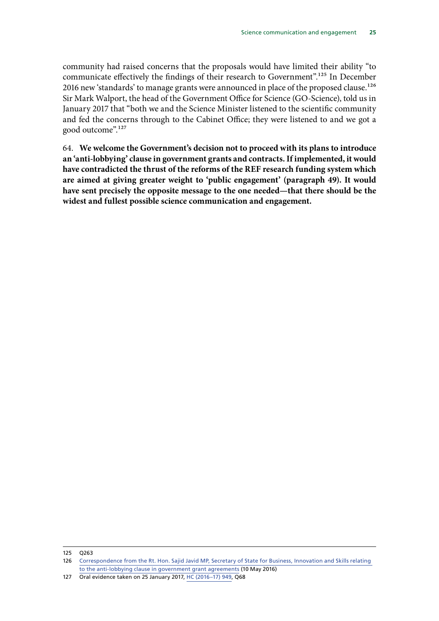community had raised concerns that the proposals would have limited their ability "to communicate effectively the findings of their research to Government".<sup>125</sup> In December 2016 new 'standards' to manage grants were announced in place of the proposed clause.<sup>126</sup> Sir Mark Walport, the head of the Government Office for Science (GO-Science), told us in January 2017 that "both we and the Science Minister listened to the scientific community and fed the concerns through to the Cabinet Office; they were listened to and we got a good outcome".127

64. **We welcome the Government's decision not to proceed with its plans to introduce an 'anti-lobbying' clause in government grants and contracts. If implemented, it would have contradicted the thrust of the reforms of the REF research funding system which are aimed at giving greater weight to 'public engagement' (paragraph 49). It would have sent precisely the opposite message to the one needed—that there should be the widest and fullest possible science communication and engagement.**

#### 125 Q263

<sup>126</sup> [Correspondence from the Rt. Hon. Sajid Javid MP, Secretary of State for Business, Innovation and Skills relating](http://www.parliament.uk/business/committees/committees-a-z/commons-select/science-and-technology-committee/publications/)  [to the anti-lobbying clause in government grant agreements](http://www.parliament.uk/business/committees/committees-a-z/commons-select/science-and-technology-committee/publications/) (10 May 2016)

<sup>127</sup> Oral evidence taken on 25 January 2017, [HC \(2016–17\) 949](http://data.parliament.uk/writtenevidence/committeeevidence.svc/evidencedocument/science-and-technology-committee/government-office-for-science-annual-report-201516/oral/46262.pdf), Q68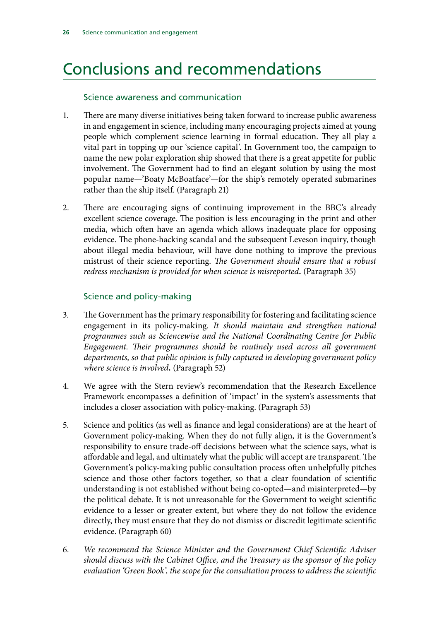## <span id="page-26-0"></span>Conclusions and recommendations

### Science awareness and communication

- 1. There are many diverse initiatives being taken forward to increase public awareness in and engagement in science, including many encouraging projects aimed at young people which complement science learning in formal education. They all play a vital part in topping up our 'science capital'. In Government too, the campaign to name the new polar exploration ship showed that there is a great appetite for public involvement. The Government had to find an elegant solution by using the most popular name—'Boaty McBoatface'—for the ship's remotely operated submarines rather than the ship itself. (Paragraph 21)
- 2. There are encouraging signs of continuing improvement in the BBC's already excellent science coverage. The position is less encouraging in the print and other media, which often have an agenda which allows inadequate place for opposing evidence. The phone-hacking scandal and the subsequent Leveson inquiry, though about illegal media behaviour, will have done nothing to improve the previous mistrust of their science reporting. *The Government should ensure that a robust redress mechanism is provided for when science is misreported.* (Paragraph 35)

### Science and policy-making

- 3. The Government has the primary responsibility for fostering and facilitating science engagement in its policy-making*. It should maintain and strengthen national programmes such as Sciencewise and the National Coordinating Centre for Public Engagement. Their programmes should be routinely used across all government departments, so that public opinion is fully captured in developing government policy where science is involved.* (Paragraph 52)
- 4. We agree with the Stern review's recommendation that the Research Excellence Framework encompasses a definition of 'impact' in the system's assessments that includes a closer association with policy-making. (Paragraph 53)
- 5. Science and politics (as well as finance and legal considerations) are at the heart of Government policy-making. When they do not fully align, it is the Government's responsibility to ensure trade-off decisions between what the science says, what is affordable and legal, and ultimately what the public will accept are transparent. The Government's policy-making public consultation process often unhelpfully pitches science and those other factors together, so that a clear foundation of scientific understanding is not established without being co-opted—and misinterpreted—by the political debate. It is not unreasonable for the Government to weight scientific evidence to a lesser or greater extent, but where they do not follow the evidence directly, they must ensure that they do not dismiss or discredit legitimate scientific evidence. (Paragraph 60)
- 6. *We recommend the Science Minister and the Government Chief Scientific Adviser should discuss with the Cabinet Office, and the Treasury as the sponsor of the policy evaluation 'Green Book', the scope for the consultation process to address the scientific*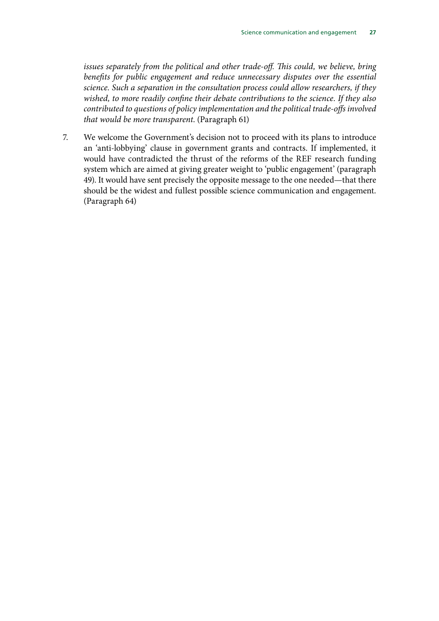*issues separately from the political and other trade-off. This could, we believe, bring*  benefits for public engagement and reduce unnecessary disputes over the essential *science. Such a separation in the consultation process could allow researchers, if they wished, to more readily confine their debate contributions to the science. If they also contributed to questions of policy implementation and the political trade-offs involved that would be more transparent*. (Paragraph 61)

7. We welcome the Government's decision not to proceed with its plans to introduce an 'anti-lobbying' clause in government grants and contracts. If implemented, it would have contradicted the thrust of the reforms of the REF research funding system which are aimed at giving greater weight to 'public engagement' (paragraph 49). It would have sent precisely the opposite message to the one needed—that there should be the widest and fullest possible science communication and engagement. (Paragraph 64)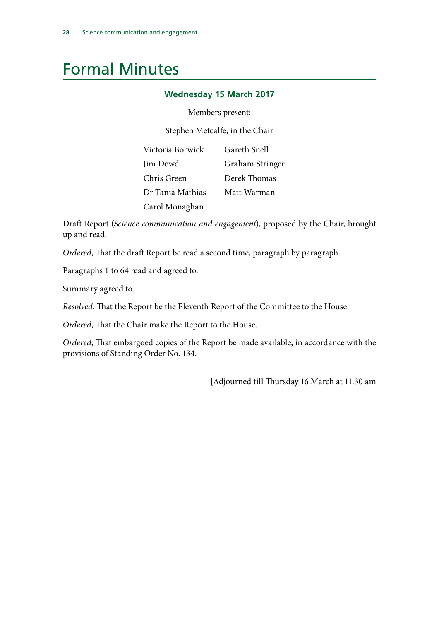## <span id="page-28-0"></span>Formal Minutes

### **Wednesday 15 March 2017**

#### Members present:

Stephen Metcalfe, in the Chair

| Victoria Borwick | Gareth Snell    |
|------------------|-----------------|
| Jim Dowd         | Graham Stringer |
| Chris Green      | Derek Thomas    |
| Dr Tania Mathias | Matt Warman     |
| Carol Monaghan   |                 |

Draft Report (*Science communication and engagement*), proposed by the Chair, brought up and read.

*Ordered*, That the draft Report be read a second time, paragraph by paragraph.

Paragraphs 1 to 64 read and agreed to.

Summary agreed to.

*Resolved*, That the Report be the Eleventh Report of the Committee to the House.

*Ordered*, That the Chair make the Report to the House.

*Ordered*, That embargoed copies of the Report be made available, in accordance with the provisions of Standing Order No. 134.

[Adjourned till Thursday 16 March at 11.30 am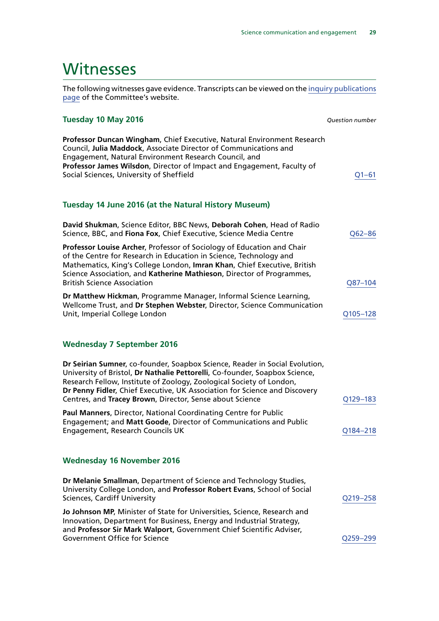## <span id="page-29-0"></span>Witnesses

The following witnesses gave evidence. Transcripts can be viewed on the [inquiry publications](http://www.parliament.uk/business/committees/committees-a-z/commons-select/science-and-technology-committee/inquiries/parliament-2015/science-communication-inquiry-15-16/publications/) [page](http://www.parliament.uk/business/committees/committees-a-z/commons-select/science-and-technology-committee/inquiries/parliament-2015/science-communication-inquiry-15-16/publications/) of the Committee's website.

#### **Tuesday 10 May 2016** *Question number*

| <b>Professor Duncan Wingham, Chief Executive, Natural Environment Research</b> |           |
|--------------------------------------------------------------------------------|-----------|
| Council, Julia Maddock, Associate Director of Communications and               |           |
| Engagement, Natural Environment Research Council, and                          |           |
| Professor James Wilsdon, Director of Impact and Engagement, Faculty of         |           |
| Social Sciences, University of Sheffield                                       | $O1 - 61$ |

#### **Tuesday 14 June 2016 (at the Natural History Museum)**

| David Shukman, Science Editor, BBC News, Deborah Cohen, Head of Radio<br>Science, BBC, and Fiona Fox, Chief Executive, Science Media Centre                                                                                                                                                                                             | O62-86   |
|-----------------------------------------------------------------------------------------------------------------------------------------------------------------------------------------------------------------------------------------------------------------------------------------------------------------------------------------|----------|
| Professor Louise Archer, Professor of Sociology of Education and Chair<br>of the Centre for Research in Education in Science, Technology and<br>Mathematics, King's College London, Imran Khan, Chief Executive, British<br>Science Association, and Katherine Mathieson, Director of Programmes,<br><b>British Science Association</b> | Q87-104  |
| Dr Matthew Hickman, Programme Manager, Informal Science Learning,<br>Wellcome Trust, and Dr Stephen Webster, Director, Science Communication<br>Unit, Imperial College London                                                                                                                                                           | Q105-128 |

### **Wednesday 7 September 2016**

| Dr Seirian Sumner, co-founder, Soapbox Science, Reader in Social Evolution,<br>University of Bristol, Dr Nathalie Pettorelli, Co-founder, Soapbox Science,<br>Research Fellow, Institute of Zoology, Zoological Society of London,<br>Dr Penny Fidler, Chief Executive, UK Association for Science and Discovery<br>Centres, and Tracey Brown, Director, Sense about Science | Q129-183 |
|------------------------------------------------------------------------------------------------------------------------------------------------------------------------------------------------------------------------------------------------------------------------------------------------------------------------------------------------------------------------------|----------|
| Paul Manners, Director, National Coordinating Centre for Public<br>Engagement; and Matt Goode, Director of Communications and Public<br>Engagement, Research Councils UK                                                                                                                                                                                                     | Q184-218 |
| <b>Wednesday 16 November 2016</b>                                                                                                                                                                                                                                                                                                                                            |          |
| Dr Melanie Smallman, Department of Science and Technology Studies,<br>University College London, and Professor Robert Evans, School of Social<br><b>Sciences, Cardiff University</b>                                                                                                                                                                                         | O219-258 |
| Jo Johnson MP, Minister of State for Universities, Science, Research and                                                                                                                                                                                                                                                                                                     |          |

Innovation, Department for Business, Energy and Industrial Strategy, and **Professor Sir Mark Walport**, Government Chief Scientific Adviser, Government Office for Science Communication of the CO259–299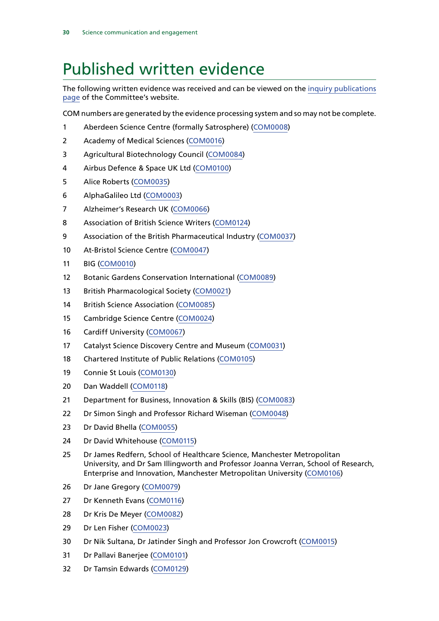## <span id="page-30-0"></span>Published written evidence

The following written evidence was received and can be viewed on the [inquiry publications](http://www.parliament.uk/business/committees/committees-a-z/commons-select/science-and-technology-committee/inquiries/parliament-2015/science-communication-inquiry-15-16/publications/) [page](http://www.parliament.uk/business/committees/committees-a-z/commons-select/science-and-technology-committee/inquiries/parliament-2015/science-communication-inquiry-15-16/publications/) of the Committee's website.

COM numbers are generated by the evidence processing system and so may not be complete.

- Aberdeen Science Centre (formally Satrosphere) ([COM0008](http://data.parliament.uk/WrittenEvidence/CommitteeEvidence.svc/EvidenceDocument/Science%20and%20Technology/Science%20communication/written/32054.html))
- Academy of Medical Sciences [\(COM0016](http://data.parliament.uk/WrittenEvidence/CommitteeEvidence.svc/EvidenceDocument/Science%20and%20Technology/Science%20communication/written/32387.html))
- Agricultural Biotechnology Council [\(COM0084\)](http://data.parliament.uk/WrittenEvidence/CommitteeEvidence.svc/EvidenceDocument/Science%20and%20Technology/Science%20communication/written/32772.html)
- Airbus Defence & Space UK Ltd [\(COM0100](http://data.parliament.uk/WrittenEvidence/CommitteeEvidence.svc/EvidenceDocument/Science%20and%20Technology/Science%20communication/written/33344.html))
- Alice Roberts [\(COM0035](http://data.parliament.uk/WrittenEvidence/CommitteeEvidence.svc/EvidenceDocument/Science%20and%20Technology/Science%20communication/written/32549.html))
- AlphaGalileo Ltd ([COM0003\)](http://data.parliament.uk/WrittenEvidence/CommitteeEvidence.svc/EvidenceDocument/Science%20and%20Technology/Science%20communication/written/31317.html)
- Alzheimer's Research UK ([COM0066](http://data.parliament.uk/WrittenEvidence/CommitteeEvidence.svc/EvidenceDocument/Science%20and%20Technology/Science%20communication/written/32637.html))
- Association of British Science Writers [\(COM0124](http://data.parliament.uk/WrittenEvidence/CommitteeEvidence.svc/EvidenceDocument/Science%20and%20Technology/Science%20communication/written/39950.html))
- Association of the British Pharmaceutical Industry ([COM0037\)](http://data.parliament.uk/WrittenEvidence/CommitteeEvidence.svc/EvidenceDocument/Science%20and%20Technology/Science%20communication/written/32551.html)
- At-Bristol Science Centre [\(COM0047](http://data.parliament.uk/WrittenEvidence/CommitteeEvidence.svc/EvidenceDocument/Science%20and%20Technology/Science%20communication/written/32576.html))
- BIG [\(COM0010](http://data.parliament.uk/WrittenEvidence/CommitteeEvidence.svc/EvidenceDocument/Science%20and%20Technology/Science%20communication/written/32283.html))
- Botanic Gardens Conservation International [\(COM0089\)](http://data.parliament.uk/WrittenEvidence/CommitteeEvidence.svc/EvidenceDocument/Science%20and%20Technology/Science%20communication/written/32836.html)
- British Pharmacological Society ([COM0021\)](http://data.parliament.uk/WrittenEvidence/CommitteeEvidence.svc/EvidenceDocument/Science%20and%20Technology/Science%20communication/written/32446.html)
- British Science Association [\(COM0085](http://data.parliament.uk/WrittenEvidence/CommitteeEvidence.svc/EvidenceDocument/Science%20and%20Technology/Science%20communication/written/32781.html))
- Cambridge Science Centre ([COM0024\)](http://data.parliament.uk/WrittenEvidence/CommitteeEvidence.svc/EvidenceDocument/Science%20and%20Technology/Science%20communication/written/32487.html)
- Cardiff University [\(COM0067\)](http://data.parliament.uk/WrittenEvidence/CommitteeEvidence.svc/EvidenceDocument/Science%20and%20Technology/Science%20communication/written/32638.html)
- Catalyst Science Discovery Centre and Museum [\(COM0031\)](http://data.parliament.uk/WrittenEvidence/CommitteeEvidence.svc/EvidenceDocument/Science%20and%20Technology/Science%20communication/written/32536.html)
- Chartered Institute of Public Relations ([COM0105\)](http://data.parliament.uk/WrittenEvidence/CommitteeEvidence.svc/EvidenceDocument/Science%20and%20Technology/Science%20communication/written/34159.html)
- Connie St Louis [\(COM0130](http://data.parliament.uk/WrittenEvidence/CommitteeEvidence.svc/EvidenceDocument/Science%20and%20Technology/Science%20communication/written/43569.html))
- Dan Waddell ([COM0118](http://data.parliament.uk/WrittenEvidence/CommitteeEvidence.svc/EvidenceDocument/Science%20and%20Technology/Science%20communication/written/35249.html))
- Department for Business, Innovation & Skills (BIS) [\(COM0083\)](http://data.parliament.uk/WrittenEvidence/CommitteeEvidence.svc/EvidenceDocument/Science%20and%20Technology/Science%20communication/written/32758.html)
- Dr Simon Singh and Professor Richard Wiseman ([COM0048](http://data.parliament.uk/WrittenEvidence/CommitteeEvidence.svc/EvidenceDocument/Science%20and%20Technology/Science%20communication/written/32579.html))
- Dr David Bhella [\(COM0055\)](http://data.parliament.uk/WrittenEvidence/CommitteeEvidence.svc/EvidenceDocument/Science%20and%20Technology/Science%20communication/written/32607.html)
- Dr David Whitehouse [\(COM0115](http://data.parliament.uk/WrittenEvidence/CommitteeEvidence.svc/EvidenceDocument/Science%20and%20Technology/Science%20communication/written/34673.html))
- Dr James Redfern, School of Healthcare Science, Manchester Metropolitan University, and Dr Sam Illingworth and Professor Joanna Verran, School of Research, Enterprise and Innovation, Manchester Metropolitan University [\(COM0106\)](http://data.parliament.uk/WrittenEvidence/CommitteeEvidence.svc/EvidenceDocument/Science%20and%20Technology/Science%20communication/written/34223.html)
- Dr Jane Gregory ([COM0079](http://data.parliament.uk/WrittenEvidence/CommitteeEvidence.svc/EvidenceDocument/Science%20and%20Technology/Science%20communication/written/32681.html))
- Dr Kenneth Evans [\(COM0116](http://data.parliament.uk/WrittenEvidence/CommitteeEvidence.svc/EvidenceDocument/Science%20and%20Technology/Science%20communication/written/34732.html))
- Dr Kris De Meyer ([COM0082\)](http://data.parliament.uk/WrittenEvidence/CommitteeEvidence.svc/EvidenceDocument/Science%20and%20Technology/Science%20communication/written/32732.html)
- Dr Len Fisher [\(COM0023](http://data.parliament.uk/WrittenEvidence/CommitteeEvidence.svc/EvidenceDocument/Science%20and%20Technology/Science%20communication/written/32476.html))
- Dr Nik Sultana, Dr Jatinder Singh and Professor Jon Crowcroft ([COM0015](http://data.parliament.uk/WrittenEvidence/CommitteeEvidence.svc/EvidenceDocument/Science%20and%20Technology/Science%20communication/written/32386.html))
- Dr Pallavi Banerjee [\(COM0101\)](http://data.parliament.uk/WrittenEvidence/CommitteeEvidence.svc/EvidenceDocument/Science%20and%20Technology/Science%20communication/written/33803.html)
- Dr Tamsin Edwards ([COM0129\)](http://data.parliament.uk/WrittenEvidence/CommitteeEvidence.svc/EvidenceDocument/Science%20and%20Technology/Science%20communication/written/43323.html)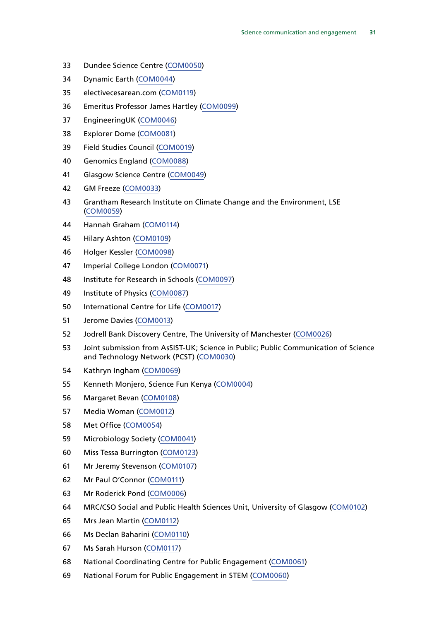- Dundee Science Centre [\(COM0050](http://data.parliament.uk/WrittenEvidence/CommitteeEvidence.svc/EvidenceDocument/Science%20and%20Technology/Science%20communication/written/32582.html))
- Dynamic Earth ([COM0044](http://data.parliament.uk/WrittenEvidence/CommitteeEvidence.svc/EvidenceDocument/Science%20and%20Technology/Science%20communication/written/32568.html))
- electivecesarean.com [\(COM0119\)](http://data.parliament.uk/WrittenEvidence/CommitteeEvidence.svc/EvidenceDocument/Science%20and%20Technology/Science%20communication/written/36576.html)
- Emeritus Professor James Hartley [\(COM0099](http://data.parliament.uk/WrittenEvidence/CommitteeEvidence.svc/EvidenceDocument/Science%20and%20Technology/Science%20communication/written/33323.html))
- EngineeringUK [\(COM0046\)](http://data.parliament.uk/WrittenEvidence/CommitteeEvidence.svc/EvidenceDocument/Science%20and%20Technology/Science%20communication/written/32575.html)
- Explorer Dome [\(COM0081\)](http://data.parliament.uk/WrittenEvidence/CommitteeEvidence.svc/EvidenceDocument/Science%20and%20Technology/Science%20communication/written/32688.html)
- Field Studies Council [\(COM0019](http://data.parliament.uk/WrittenEvidence/CommitteeEvidence.svc/EvidenceDocument/Science%20and%20Technology/Science%20communication/written/32425.html))
- Genomics England [\(COM0088](http://data.parliament.uk/WrittenEvidence/CommitteeEvidence.svc/EvidenceDocument/Science%20and%20Technology/Science%20communication/written/32824.html))
- Glasgow Science Centre [\(COM0049\)](http://data.parliament.uk/WrittenEvidence/CommitteeEvidence.svc/EvidenceDocument/Science%20and%20Technology/Science%20communication/written/32580.html)
- GM Freeze [\(COM0033\)](http://data.parliament.uk/WrittenEvidence/CommitteeEvidence.svc/EvidenceDocument/Science%20and%20Technology/Science%20communication/written/32545.html)
- Grantham Research Institute on Climate Change and the Environment, LSE ([COM0059](http://data.parliament.uk/WrittenEvidence/CommitteeEvidence.svc/EvidenceDocument/Science%20and%20Technology/Science%20communication/written/32621.html))
- Hannah Graham [\(COM0114](http://data.parliament.uk/WrittenEvidence/CommitteeEvidence.svc/EvidenceDocument/Science%20and%20Technology/Science%20communication/written/34660.html))
- Hilary Ashton [\(COM0109\)](http://data.parliament.uk/WrittenEvidence/CommitteeEvidence.svc/EvidenceDocument/Science%20and%20Technology/Science%20communication/written/34517.html)
- Holger Kessler [\(COM0098\)](http://data.parliament.uk/WrittenEvidence/CommitteeEvidence.svc/EvidenceDocument/Science%20and%20Technology/Science%20communication/written/33265.html)
- Imperial College London [\(COM0071](http://data.parliament.uk/WrittenEvidence/CommitteeEvidence.svc/EvidenceDocument/Science%20and%20Technology/Science%20communication/written/32655.html))
- Institute for Research in Schools ([COM0097\)](http://data.parliament.uk/WrittenEvidence/CommitteeEvidence.svc/EvidenceDocument/Science%20and%20Technology/Science%20communication/written/33218.html)
- Institute of Physics [\(COM0087](http://data.parliament.uk/WrittenEvidence/CommitteeEvidence.svc/EvidenceDocument/Science%20and%20Technology/Science%20communication/written/32823.html))
- International Centre for Life [\(COM0017\)](http://data.parliament.uk/WrittenEvidence/CommitteeEvidence.svc/EvidenceDocument/Science%20and%20Technology/Science%20communication/written/32394.html)
- Jerome Davies [\(COM0013](http://data.parliament.uk/WrittenEvidence/CommitteeEvidence.svc/EvidenceDocument/Science%20and%20Technology/Science%20communication/written/32371.html))
- Jodrell Bank Discovery Centre, The University of Manchester [\(COM0026\)](http://data.parliament.uk/WrittenEvidence/CommitteeEvidence.svc/EvidenceDocument/Science%20and%20Technology/Science%20communication/written/32508.html)
- Joint submission from AsSIST-UK; Science in Public; Public Communication of Science and Technology Network (PCST) [\(COM0030](http://data.parliament.uk/WrittenEvidence/CommitteeEvidence.svc/EvidenceDocument/Science%20and%20Technology/Science%20communication/written/32531.html))
- Kathryn Ingham ([COM0069\)](http://data.parliament.uk/WrittenEvidence/CommitteeEvidence.svc/EvidenceDocument/Science%20and%20Technology/Science%20communication/written/32647.html)
- Kenneth Monjero, Science Fun Kenya [\(COM0004\)](http://data.parliament.uk/WrittenEvidence/CommitteeEvidence.svc/EvidenceDocument/Science%20and%20Technology/Science%20communication/written/31713.html)
- Margaret Bevan [\(COM0108\)](http://data.parliament.uk/WrittenEvidence/CommitteeEvidence.svc/EvidenceDocument/Science%20and%20Technology/Science%20communication/written/34516.html)
- Media Woman [\(COM0012](http://data.parliament.uk/WrittenEvidence/CommitteeEvidence.svc/EvidenceDocument/Science%20and%20Technology/Science%20communication/written/32311.html))
- Met Office [\(COM0054](http://data.parliament.uk/WrittenEvidence/CommitteeEvidence.svc/EvidenceDocument/Science%20and%20Technology/Science%20communication/written/32597.html))
- Microbiology Society [\(COM0041\)](http://data.parliament.uk/WrittenEvidence/CommitteeEvidence.svc/EvidenceDocument/Science%20and%20Technology/Science%20communication/written/32559.html)
- Miss Tessa Burrington ([COM0123](http://data.parliament.uk/WrittenEvidence/CommitteeEvidence.svc/EvidenceDocument/Science%20and%20Technology/Science%20communication/written/39665.html))
- Mr Jeremy Stevenson ([COM0107\)](http://data.parliament.uk/WrittenEvidence/CommitteeEvidence.svc/EvidenceDocument/Science%20and%20Technology/Science%20communication/written/34515.html)
- Mr Paul O'Connor [\(COM0111\)](http://data.parliament.uk/WrittenEvidence/CommitteeEvidence.svc/EvidenceDocument/Science%20and%20Technology/Science%20communication/written/34542.html)
- Mr Roderick Pond [\(COM0006\)](http://data.parliament.uk/WrittenEvidence/CommitteeEvidence.svc/EvidenceDocument/Science%20and%20Technology/Science%20communication/written/31969.html)
- MRC/CSO Social and Public Health Sciences Unit, University of Glasgow [\(COM0102](http://data.parliament.uk/WrittenEvidence/CommitteeEvidence.svc/EvidenceDocument/Science%20and%20Technology/Science%20communication/written/34054.html))
- Mrs Jean Martin ([COM0112\)](http://data.parliament.uk/WrittenEvidence/CommitteeEvidence.svc/EvidenceDocument/Science%20and%20Technology/Science%20communication/written/34544.html)
- Ms Declan Baharini [\(COM0110](http://data.parliament.uk/WrittenEvidence/CommitteeEvidence.svc/EvidenceDocument/Science%20and%20Technology/Science%20communication/written/34522.html))
- Ms Sarah Hurson [\(COM0117](http://data.parliament.uk/WrittenEvidence/CommitteeEvidence.svc/EvidenceDocument/Science%20and%20Technology/Science%20communication/written/34743.html))
- National Coordinating Centre for Public Engagement [\(COM0061](http://data.parliament.uk/WrittenEvidence/CommitteeEvidence.svc/EvidenceDocument/Science%20and%20Technology/Science%20communication/written/32623.html))
- National Forum for Public Engagement in STEM [\(COM0060\)](http://data.parliament.uk/WrittenEvidence/CommitteeEvidence.svc/EvidenceDocument/Science%20and%20Technology/Science%20communication/written/32622.html)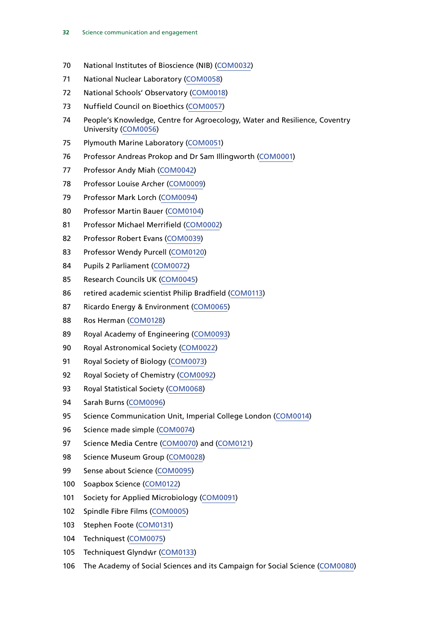- National Institutes of Bioscience (NIB) [\(COM0032](http://data.parliament.uk/WrittenEvidence/CommitteeEvidence.svc/EvidenceDocument/Science%20and%20Technology/Science%20communication/written/32541.html))
- National Nuclear Laboratory [\(COM0058\)](http://data.parliament.uk/WrittenEvidence/CommitteeEvidence.svc/EvidenceDocument/Science%20and%20Technology/Science%20communication/written/32618.html)
- National Schools' Observatory [\(COM0018\)](http://data.parliament.uk/WrittenEvidence/CommitteeEvidence.svc/EvidenceDocument/Science%20and%20Technology/Science%20communication/written/32411.html)
- Nuffield Council on Bioethics [\(COM0057](http://data.parliament.uk/WrittenEvidence/CommitteeEvidence.svc/EvidenceDocument/Science%20and%20Technology/Science%20communication/written/32614.html))
- People's Knowledge, Centre for Agroecology, Water and Resilience, Coventry University [\(COM0056](http://data.parliament.uk/WrittenEvidence/CommitteeEvidence.svc/EvidenceDocument/Science%20and%20Technology/Science%20communication/written/32612.html))
- Plymouth Marine Laboratory ([COM0051\)](http://data.parliament.uk/WrittenEvidence/CommitteeEvidence.svc/EvidenceDocument/Science%20and%20Technology/Science%20communication/written/32590.html)
- Professor Andreas Prokop and Dr Sam Illingworth ([COM0001](http://data.parliament.uk/WrittenEvidence/CommitteeEvidence.svc/EvidenceDocument/Science%20and%20Technology/Science%20communication/written/31076.html))
- Professor Andy Miah ([COM0042\)](http://data.parliament.uk/WrittenEvidence/CommitteeEvidence.svc/EvidenceDocument/Science%20and%20Technology/Science%20communication/written/32563.html)
- Professor Louise Archer [\(COM0009](http://data.parliament.uk/WrittenEvidence/CommitteeEvidence.svc/EvidenceDocument/Science%20and%20Technology/Science%20communication/written/32124.html))
- Professor Mark Lorch [\(COM0094\)](http://data.parliament.uk/WrittenEvidence/CommitteeEvidence.svc/EvidenceDocument/Science%20and%20Technology/Science%20communication/written/33183.html)
- Professor Martin Bauer [\(COM0104\)](http://data.parliament.uk/WrittenEvidence/CommitteeEvidence.svc/EvidenceDocument/Science%20and%20Technology/Science%20communication/written/34144.html)
- Professor Michael Merrifield [\(COM0002](http://data.parliament.uk/WrittenEvidence/CommitteeEvidence.svc/EvidenceDocument/Science%20and%20Technology/Science%20communication/written/31080.html))
- Professor Robert Evans [\(COM0039](http://data.parliament.uk/WrittenEvidence/CommitteeEvidence.svc/EvidenceDocument/Science%20and%20Technology/Science%20communication/written/32556.html))
- Professor Wendy Purcell [\(COM0120\)](http://data.parliament.uk/WrittenEvidence/CommitteeEvidence.svc/EvidenceDocument/Science%20and%20Technology/Science%20communication/written/37381.html)
- Pupils 2 Parliament [\(COM0072\)](http://data.parliament.uk/WrittenEvidence/CommitteeEvidence.svc/EvidenceDocument/Science%20and%20Technology/Science%20communication/written/32658.html)
- Research Councils UK ([COM0045\)](http://data.parliament.uk/WrittenEvidence/CommitteeEvidence.svc/EvidenceDocument/Science%20and%20Technology/Science%20communication/written/32572.html)
- retired academic scientist Philip Bradfield [\(COM0113](http://data.parliament.uk/WrittenEvidence/CommitteeEvidence.svc/EvidenceDocument/Science%20and%20Technology/Science%20communication/written/34560.html))
- Ricardo Energy & Environment [\(COM0065\)](http://data.parliament.uk/WrittenEvidence/CommitteeEvidence.svc/EvidenceDocument/Science%20and%20Technology/Science%20communication/written/32636.html)
- Ros Herman ([COM0128\)](http://data.parliament.uk/WrittenEvidence/CommitteeEvidence.svc/EvidenceDocument/Science%20and%20Technology/Science%20communication/written/43191.html)
- Royal Academy of Engineering [\(COM0093\)](http://data.parliament.uk/WrittenEvidence/CommitteeEvidence.svc/EvidenceDocument/Science%20and%20Technology/Science%20communication/written/33047.html)
- Royal Astronomical Society [\(COM0022\)](http://data.parliament.uk/WrittenEvidence/CommitteeEvidence.svc/EvidenceDocument/Science%20and%20Technology/Science%20communication/written/32456.html)
- 91 Royal Society of Biology [\(COM0073](http://data.parliament.uk/WrittenEvidence/CommitteeEvidence.svc/EvidenceDocument/Science%20and%20Technology/Science%20communication/written/32661.html))
- 92 Royal Society of Chemistry [\(COM0092](http://data.parliament.uk/WrittenEvidence/CommitteeEvidence.svc/EvidenceDocument/Science%20and%20Technology/Science%20communication/written/33019.html))
- Royal Statistical Society [\(COM0068\)](http://data.parliament.uk/WrittenEvidence/CommitteeEvidence.svc/EvidenceDocument/Science%20and%20Technology/Science%20communication/written/32641.html)
- Sarah Burns [\(COM0096\)](http://data.parliament.uk/WrittenEvidence/CommitteeEvidence.svc/EvidenceDocument/Science%20and%20Technology/Science%20communication/written/33215.html)
- 95 Science Communication Unit, Imperial College London [\(COM0014](http://data.parliament.uk/WrittenEvidence/CommitteeEvidence.svc/EvidenceDocument/Science%20and%20Technology/Science%20communication/written/32372.html))
- Science made simple [\(COM0074\)](http://data.parliament.uk/WrittenEvidence/CommitteeEvidence.svc/EvidenceDocument/Science%20and%20Technology/Science%20communication/written/32664.html)
- 97 Science Media Centre [\(COM0070\)](http://data.parliament.uk/WrittenEvidence/CommitteeEvidence.svc/EvidenceDocument/Science%20and%20Technology/Science%20communication/written/32651.html) and [\(COM0121\)](http://data.parliament.uk/WrittenEvidence/CommitteeEvidence.svc/EvidenceDocument/Science%20and%20Technology/Science%20communication/written/37852.html)
- Science Museum Group [\(COM0028\)](http://data.parliament.uk/WrittenEvidence/CommitteeEvidence.svc/EvidenceDocument/Science%20and%20Technology/Science%20communication/written/32512.html)
- Sense about Science [\(COM0095\)](http://data.parliament.uk/WrittenEvidence/CommitteeEvidence.svc/EvidenceDocument/Science%20and%20Technology/Science%20communication/written/33194.html)
- Soapbox Science [\(COM0122](http://data.parliament.uk/WrittenEvidence/CommitteeEvidence.svc/EvidenceDocument/Science%20and%20Technology/Science%20communication/written/38663.html))
- Society for Applied Microbiology [\(COM0091](http://data.parliament.uk/WrittenEvidence/CommitteeEvidence.svc/EvidenceDocument/Science%20and%20Technology/Science%20communication/written/33014.html))
- Spindle Fibre Films [\(COM0005\)](http://data.parliament.uk/WrittenEvidence/CommitteeEvidence.svc/EvidenceDocument/Science%20and%20Technology/Science%20communication/written/31869.html)
- Stephen Foote [\(COM0131](http://data.parliament.uk/WrittenEvidence/CommitteeEvidence.svc/EvidenceDocument/Science%20and%20Technology/Science%20communication/written/46697.html))
- Techniquest [\(COM0075](http://data.parliament.uk/WrittenEvidence/CommitteeEvidence.svc/EvidenceDocument/Science%20and%20Technology/Science%20communication/written/32669.html))
- 105 Techniquest Glyndŵr [\(COM0133](http://data.parliament.uk/writtenevidence/committeeevidence.svc/evidencedocument/science-and-technology-committee/science-communication/written/47209.html))
- The Academy of Social Sciences and its Campaign for Social Science [\(COM0080\)](http://data.parliament.uk/WrittenEvidence/CommitteeEvidence.svc/EvidenceDocument/Science%20and%20Technology/Science%20communication/written/32682.html)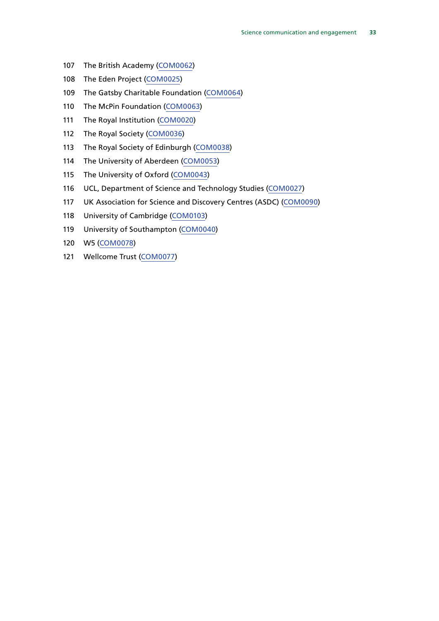- The British Academy [\(COM0062](http://data.parliament.uk/WrittenEvidence/CommitteeEvidence.svc/EvidenceDocument/Science%20and%20Technology/Science%20communication/written/32625.html))
- The Eden Project [\(COM0025](http://data.parliament.uk/WrittenEvidence/CommitteeEvidence.svc/EvidenceDocument/Science%20and%20Technology/Science%20communication/written/32501.html))
- The Gatsby Charitable Foundation ([COM0064](http://data.parliament.uk/WrittenEvidence/CommitteeEvidence.svc/EvidenceDocument/Science%20and%20Technology/Science%20communication/written/32633.html))
- The McPin Foundation ([COM0063\)](http://data.parliament.uk/WrittenEvidence/CommitteeEvidence.svc/EvidenceDocument/Science%20and%20Technology/Science%20communication/written/32628.html)
- The Royal Institution [\(COM0020](http://data.parliament.uk/WrittenEvidence/CommitteeEvidence.svc/EvidenceDocument/Science%20and%20Technology/Science%20communication/written/32440.html))
- The Royal Society [\(COM0036](http://data.parliament.uk/WrittenEvidence/CommitteeEvidence.svc/EvidenceDocument/Science%20and%20Technology/Science%20communication/written/32550.html))
- The Royal Society of Edinburgh [\(COM0038](http://data.parliament.uk/WrittenEvidence/CommitteeEvidence.svc/EvidenceDocument/Science%20and%20Technology/Science%20communication/written/32555.html))
- The University of Aberdeen [\(COM0053](http://data.parliament.uk/WrittenEvidence/CommitteeEvidence.svc/EvidenceDocument/Science%20and%20Technology/Science%20communication/written/32592.html))
- The University of Oxford [\(COM0043](http://data.parliament.uk/WrittenEvidence/CommitteeEvidence.svc/EvidenceDocument/Science%20and%20Technology/Science%20communication/written/32565.html))
- UCL, Department of Science and Technology Studies [\(COM0027\)](http://data.parliament.uk/WrittenEvidence/CommitteeEvidence.svc/EvidenceDocument/Science%20and%20Technology/Science%20communication/written/32510.html)
- UK Association for Science and Discovery Centres (ASDC) ([COM0090](http://data.parliament.uk/WrittenEvidence/CommitteeEvidence.svc/EvidenceDocument/Science%20and%20Technology/Science%20communication/written/32875.html))
- University of Cambridge [\(COM0103](http://data.parliament.uk/WrittenEvidence/CommitteeEvidence.svc/EvidenceDocument/Science%20and%20Technology/Science%20communication/written/34114.html))
- University of Southampton [\(COM0040](http://data.parliament.uk/WrittenEvidence/CommitteeEvidence.svc/EvidenceDocument/Science%20and%20Technology/Science%20communication/written/32558.html))
- W5 [\(COM0078\)](http://data.parliament.uk/WrittenEvidence/CommitteeEvidence.svc/EvidenceDocument/Science%20and%20Technology/Science%20communication/written/32678.html)
- Wellcome Trust [\(COM0077](http://data.parliament.uk/WrittenEvidence/CommitteeEvidence.svc/EvidenceDocument/Science%20and%20Technology/Science%20communication/written/32672.html))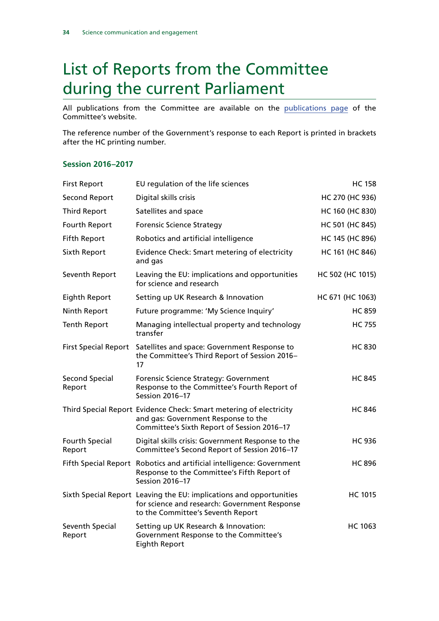## <span id="page-34-0"></span>List of Reports from the Committee during the current Parliament

All publications from the Committee are available on the [publications page](http://www.parliament.uk/business/committees/committees-a-z/commons-select/science-and-technology-committee/publications/) of the Committee's website.

The reference number of the Government's response to each Report is printed in brackets after the HC printing number.

### **Session 2016–2017**

| <b>First Report</b>             | EU regulation of the life sciences                                                                                                                        | <b>HC 158</b>    |
|---------------------------------|-----------------------------------------------------------------------------------------------------------------------------------------------------------|------------------|
| Second Report                   | Digital skills crisis                                                                                                                                     | HC 270 (HC 936)  |
| <b>Third Report</b>             | Satellites and space                                                                                                                                      | HC 160 (HC 830)  |
| Fourth Report                   | <b>Forensic Science Strategy</b>                                                                                                                          | HC 501 (HC 845)  |
| <b>Fifth Report</b>             | Robotics and artificial intelligence                                                                                                                      | HC 145 (HC 896)  |
| Sixth Report                    | Evidence Check: Smart metering of electricity<br>and gas                                                                                                  | HC 161 (HC 846)  |
| Seventh Report                  | Leaving the EU: implications and opportunities<br>for science and research                                                                                | HC 502 (HC 1015) |
| Eighth Report                   | Setting up UK Research & Innovation                                                                                                                       | HC 671 (HC 1063) |
| Ninth Report                    | Future programme: 'My Science Inquiry'                                                                                                                    | <b>HC 859</b>    |
| <b>Tenth Report</b>             | Managing intellectual property and technology<br>transfer                                                                                                 | <b>HC 755</b>    |
| <b>First Special Report</b>     | Satellites and space: Government Response to<br>the Committee's Third Report of Session 2016-<br>17                                                       | <b>HC 830</b>    |
| <b>Second Special</b><br>Report | Forensic Science Strategy: Government<br>Response to the Committee's Fourth Report of<br>Session 2016-17                                                  | <b>HC 845</b>    |
|                                 | Third Special Report Evidence Check: Smart metering of electricity<br>and gas: Government Response to the<br>Committee's Sixth Report of Session 2016-17  | <b>HC 846</b>    |
| <b>Fourth Special</b><br>Report | Digital skills crisis: Government Response to the<br>Committee's Second Report of Session 2016-17                                                         | <b>HC 936</b>    |
|                                 | Fifth Special Report Robotics and artificial intelligence: Government<br>Response to the Committee's Fifth Report of<br>Session 2016-17                   | <b>HC 896</b>    |
|                                 | Sixth Special Report Leaving the EU: implications and opportunities<br>for science and research: Government Response<br>to the Committee's Seventh Report | <b>HC 1015</b>   |
| Seventh Special<br>Report       | Setting up UK Research & Innovation:<br>Government Response to the Committee's<br><b>Eighth Report</b>                                                    | <b>HC 1063</b>   |